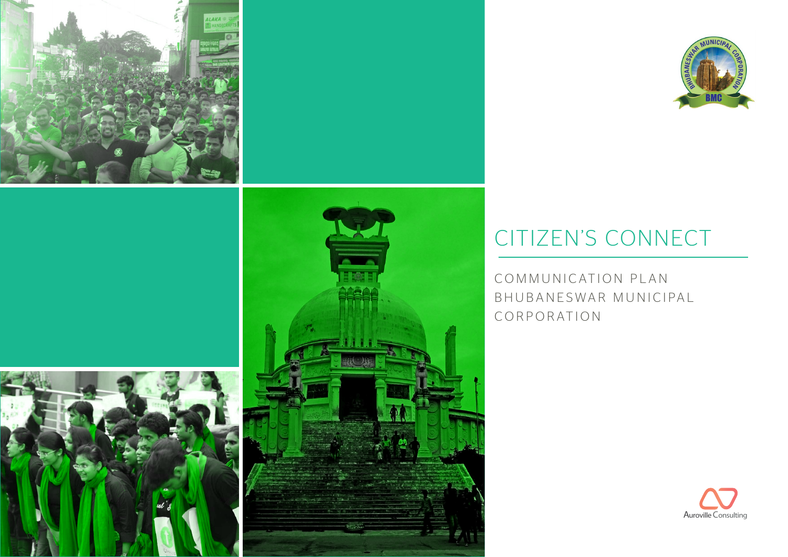



### CITIZEN'S CONNECT

COMMUNICATION PLAN B H U B A N E S W A R M U N I C I PA L CORPORATION

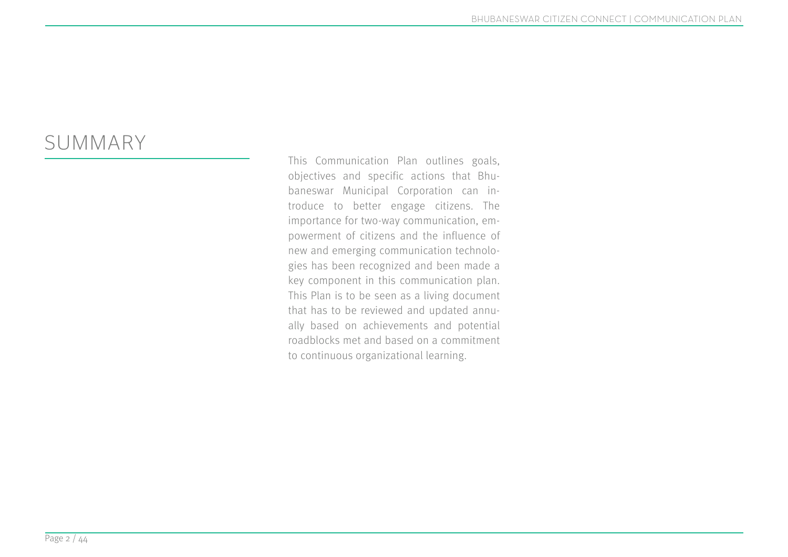#### SUMMARY

This Communication Plan outlines goals, objectives and specific actions that Bhubaneswar Municipal Corporation can introduce to better engage citizens. The importance for two-way communication, empowerment of citizens and the influence of new and emerging communication technologies has been recognized and been made a key component in this communication plan. This Plan is to be seen as a living document that has to be reviewed and updated annually based on achievements and potential roadblocks met and based on a commitment to continuous organizational learning.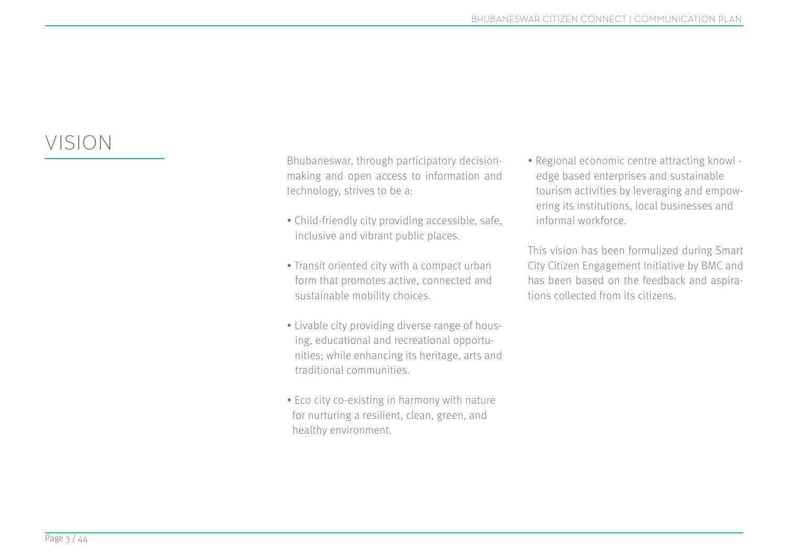#### VISION

Bhubaneswar, through participatory decisionmaking and open access to information and technology, strives to be a:

- Child-friendly city providing accessible, safe, inclusive and vibrant public places.
- Transit oriented city with a compact urban form that promotes active, connected and sustainable mobility choices.
- Livable city providing diverse range of hous ing, educational and recreational opportu nities; while enhancing its heritage, arts and traditional communities.
- Eco city co-existing in harmony with nature for nurturing a resilient, clean, green, and healthy environment.

• Regional economic centre attracting knowl edge based enterprises and sustainable tourism activities by leveraging and empow ering its institutions, local businesses and informal workforce.

This vision has been formulized during Smart City Citizen Engagement Initiative by BMC and has been based on the feedback and aspirations collected from its citizens.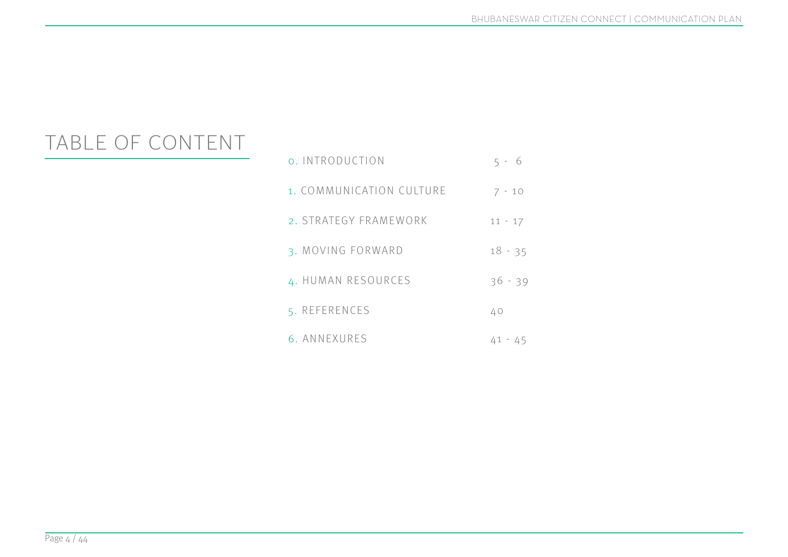#### TABLE OF CONTENT

| o. INTRODUCTION          | $5 - 6$   |
|--------------------------|-----------|
| 1. COMMUNICATION CULTURE | $7 - 10$  |
| 2. STRATEGY FRAMEWORK    | $11 - 17$ |
| 3. MOVING FORWARD        | $18 - 35$ |
| 4. HUMAN RESOURCES       | $36 - 39$ |
| 5. REFERENCES            | 40        |
| 6. ANNEXURES             | 41 - 45   |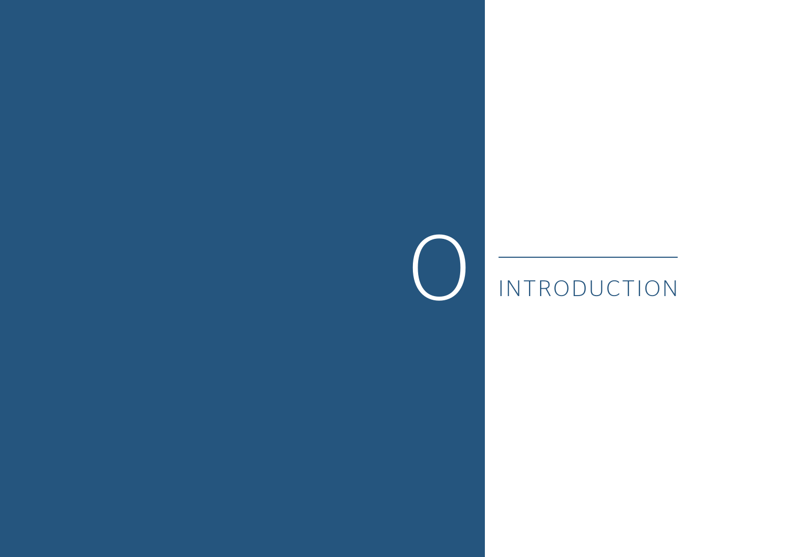## O INTRODUCTION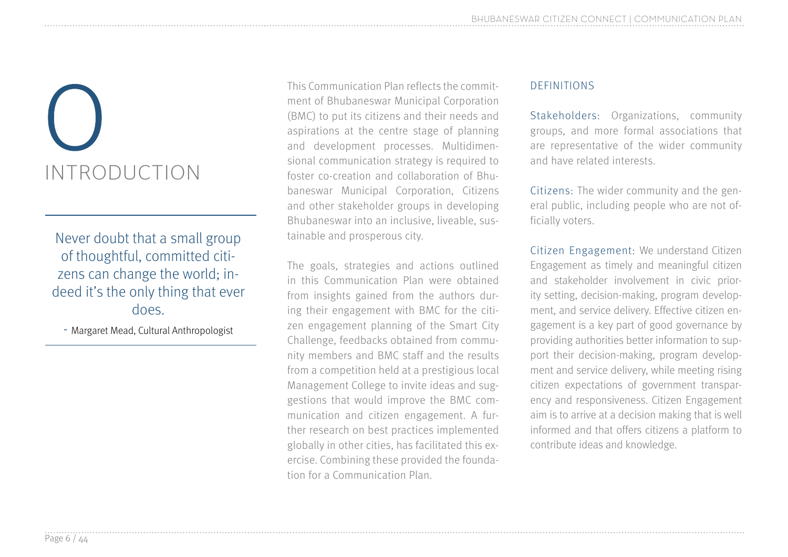# INTRODUCTION

Never doubt that a small group of thoughtful, committed citizens can change the world; indeed it's the only thing that ever does.

- Margaret Mead, Cultural Anthropologist

This Communication Plan reflects the commit-<br>ment of Bhubaneswar Municipal Corporation<br>(BMC) to put its citizens and their needs and<br>aspirations at the centre stage of planning<br>and development processes. Multidimen-<br>sional ment of Bhubaneswar Municipal Corporation (BMC) to put its citizens and their needs and aspirations at the centre stage of planning and development processes. Multidimensional communication strategy is required to foster co-creation and collaboration of Bhubaneswar Municipal Corporation, Citizens and other stakeholder groups in developing Bhubaneswar into an inclusive, liveable, sustainable and prosperous city.

> The goals, strategies and actions outlined in this Communication Plan were obtained from insights gained from the authors during their engagement with BMC for the citizen engagement planning of the Smart City Challenge, feedbacks obtained from community members and BMC staff and the results from a competition held at a prestigious local Management College to invite ideas and suggestions that would improve the BMC communication and citizen engagement. A further research on best practices implemented globally in other cities, has facilitated this exercise. Combining these provided the foundation for a Communication Plan.

#### DEFINITIONS

Stakeholders: Organizations, community groups, and more formal associations that are representative of the wider community and have related interests.

Citizens: The wider community and the general public, including people who are not officially voters.

Citizen Engagement: We understand Citizen Engagement as timely and meaningful citizen and stakeholder involvement in civic priority setting, decision-making, program development, and service delivery. Effective citizen engagement is a key part of good governance by providing authorities better information to support their decision-making, program development and service delivery, while meeting rising citizen expectations of government transparency and responsiveness. Citizen Engagement aim is to arrive at a decision making that is well informed and that offers citizens a platform to contribute ideas and knowledge.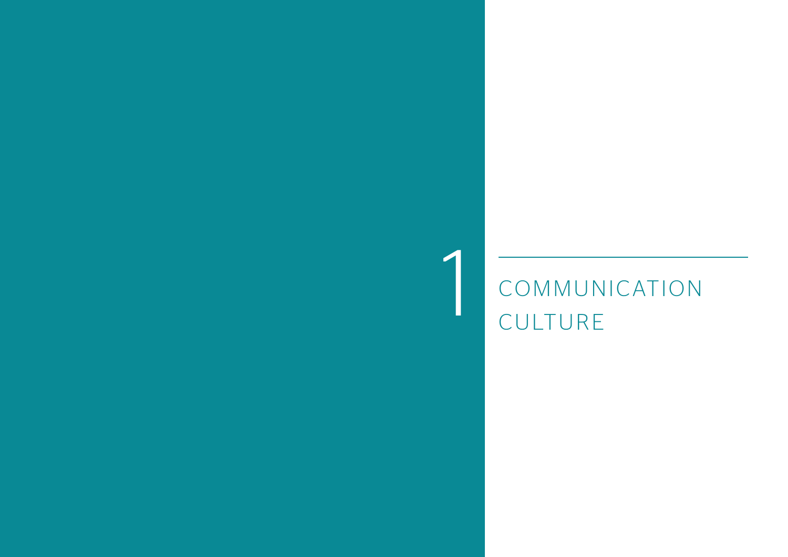## 1 COMMUNICATION CULTURE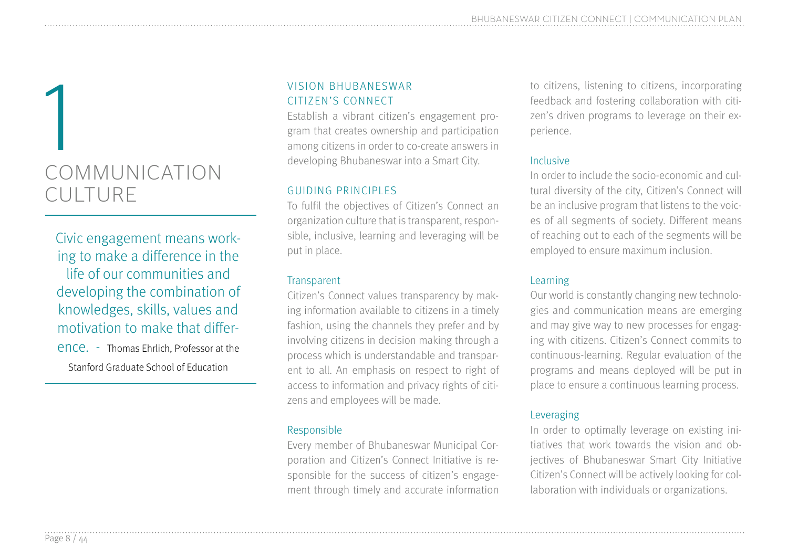## COMMUNICATION CULTURE 1

Civic engagement means working to make a difference in the life of our communities and developing the combination of knowledges, skills, values and motivation to make that differ-

ence. - Thomas Ehrlich, Professor at the

Stanford Graduate School of Education

#### VISION BHUBANESWAR CITIZEN'S CONNECT

Establish a vibrant citizen's engagement program that creates ownership and participation among citizens in order to co-create answers in developing Bhubaneswar into a Smart City.

#### GUIDING PRINCIPLES

To fulfil the objectives of Citizen's Connect an organization culture that is transparent, responsible, inclusive, learning and leveraging will be put in place.

#### **Transparent**

Citizen's Connect values transparency by making information available to citizens in a timely fashion, using the channels they prefer and by involving citizens in decision making through a process which is understandable and transparent to all. An emphasis on respect to right of access to information and privacy rights of citizens and employees will be made.

#### Responsible

Every member of Bhubaneswar Municipal Corporation and Citizen's Connect Initiative is responsible for the success of citizen's engagement through timely and accurate information to citizens, listening to citizens, incorporating feedback and fostering collaboration with citizen's driven programs to leverage on their experience.

#### Inclusive

In order to include the socio-economic and cultural diversity of the city, Citizen's Connect will be an inclusive program that listens to the voices of all segments of society. Different means of reaching out to each of the segments will be employed to ensure maximum inclusion.

#### Learning

Our world is constantly changing new technologies and communication means are emerging and may give way to new processes for engaging with citizens. Citizen's Connect commits to continuous-learning. Regular evaluation of the programs and means deployed will be put in place to ensure a continuous learning process.

#### Leveraging

In order to optimally leverage on existing initiatives that work towards the vision and objectives of Bhubaneswar Smart City Initiative Citizen's Connect will be actively looking for collaboration with individuals or organizations.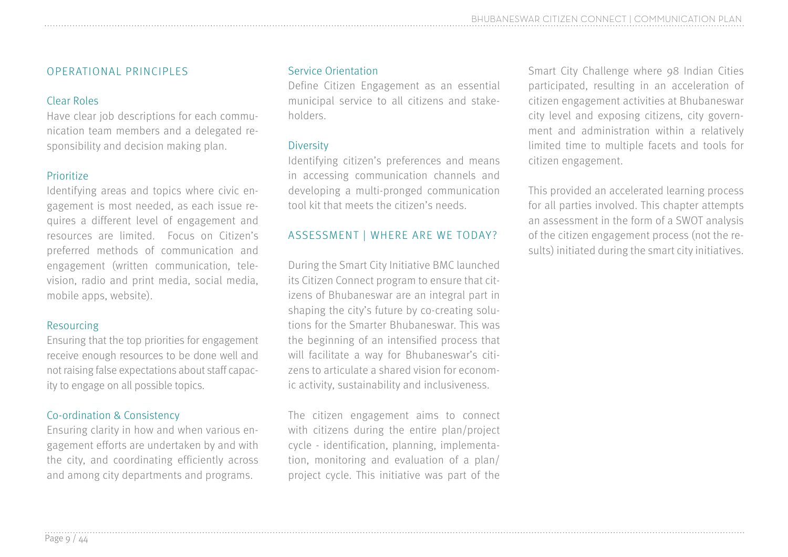#### OPERATIONAL PRINCIPLES

#### Clear Roles

Have clear job descriptions for each communication team members and a delegated responsibility and decision making plan.

#### Prioritize

Identifying areas and topics where civic engagement is most needed, as each issue requires a different level of engagement and resources are limited. Focus on Citizen's preferred methods of communication and engagement (written communication, television, radio and print media, social media, mobile apps, website).

#### Resourcing

Ensuring that the top priorities for engagement receive enough resources to be done well and not raising false expectations about staff capacity to engage on all possible topics.

#### Co-ordination & Consistency

Ensuring clarity in how and when various engagement efforts are undertaken by and with the city, and coordinating efficiently across and among city departments and programs.

#### Service Orientation

Define Citizen Engagement as an essential municipal service to all citizens and stakeholders.

#### Diversity

Identifying citizen's preferences and means in accessing communication channels and developing a multi-pronged communication tool kit that meets the citizen's needs.

#### ASSESSMENT | WHERE ARE WE TODAY?

During the Smart City Initiative BMC launched its Citizen Connect program to ensure that citizens of Bhubaneswar are an integral part in shaping the city's future by co-creating solutions for the Smarter Bhubaneswar. This was the beginning of an intensified process that will facilitate a way for Bhubaneswar's citizens to articulate a shared vision for economic activity, sustainability and inclusiveness.

The citizen engagement aims to connect with citizens during the entire plan/project cycle - identification, planning, implementation, monitoring and evaluation of a plan/ project cycle. This initiative was part of the

Smart City Challenge where 98 Indian Cities participated, resulting in an acceleration of citizen engagement activities at Bhubaneswar city level and exposing citizens, city government and administration within a relatively limited time to multiple facets and tools for citizen engagement.

This provided an accelerated learning process for all parties involved. This chapter attempts an assessment in the form of a SWOT analysis of the citizen engagement process (not the results) initiated during the smart city initiatives.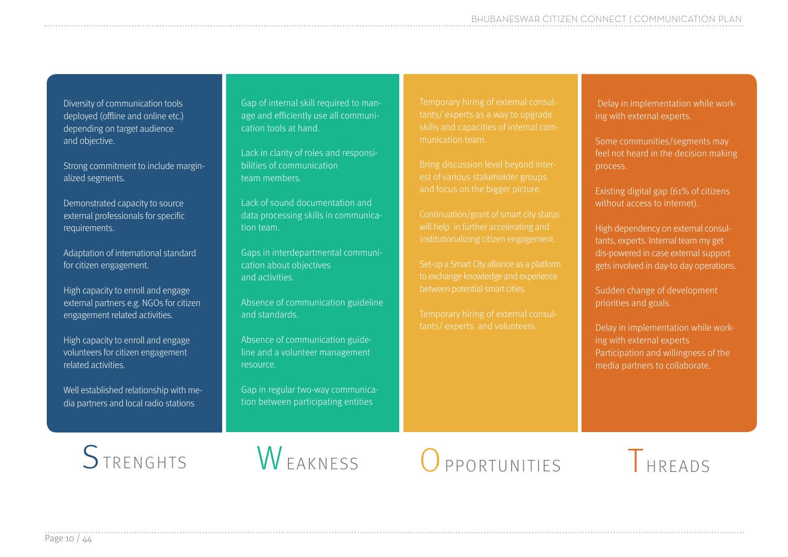Diversity of communication tools deployed (offline and online etc.) depending on target audience and objective.

Strong commitment to include marginalized segments.

Demonstrated capacity to source external professionals for specific requirements.

Adaptation of international standard for citizen engagement.

High capacity to enroll and engage external partners e.g. NGOs for citizen engagement related activities.

High capacity to enroll and engage volunteers for citizen engagement related activities.

Well established relationship with media partners and local radio stations

Gap of internal skill required to manage and efficiently use all communication tools at hand.

Lack in clarity of roles and responsibilities of communication team members.

Lack of sound documentation and data processing skills in communication team.

Gaps in interdepartmental communication about objectives and activities.

Absence of communication guideline and standards.

Absence of communication guideline and a volunteer management resource.

Gap in regular two-way communication between participating entities

Temporary hiring of external consulskills and capacities of internal communication team.

est of various stakeholder groups

will help in further accelerating and institutionalizing citizen engagement.

Set-up a Smart City alliance as a platform to exchange knowledge and experience

Temporary hiring of external consultants/ experts and volunteers.

 Delay in implementation while working with external experts.

Some communities/segments may feel not heard in the decision making process.

Existing digital gap (61% of citizens without access to internet).

High dependency on external consultants, experts. Internal team my get dis-powered in case external support gets involved in day-to day operations.

Sudden change of development priorities and goals.

Delay in implementation while working with external experts Participation and willingness of the media partners to collaborate.



STRENGHTS WEAKNESS OPPORTUNITIES THREADS

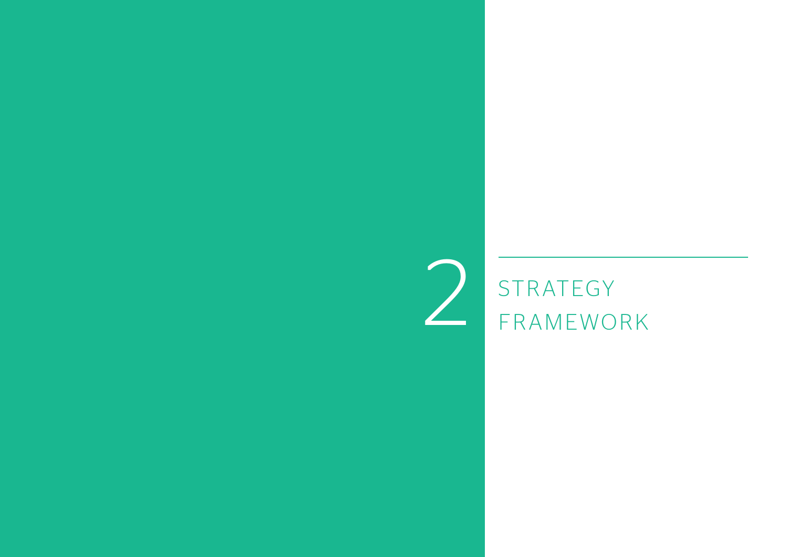### **STRATEGY** FRAMEWORK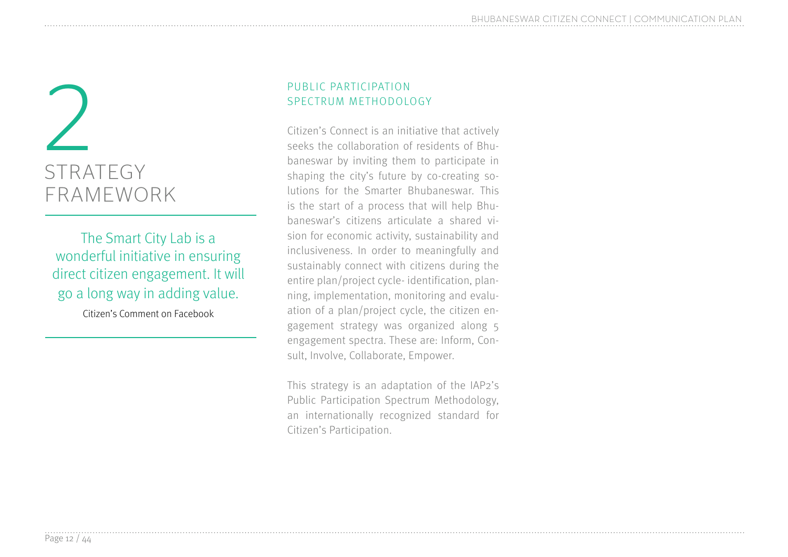## STRATEGY FRAMEWORK 2

The Smart City Lab is a wonderful initiative in ensuring direct citizen engagement. It will go a long way in adding value.

Citizen's Comment on Facebook

#### PUBLIC PARTICIPATION SPECTRUM METHODOLOGY

Citizen's Connect is an initiative that actively seeks the collaboration of residents of Bhubaneswar by inviting them to participate in shaping the city's future by co-creating solutions for the Smarter Bhubaneswar. This is the start of a process that will help Bhubaneswar's citizens articulate a shared vision for economic activity, sustainability and inclusiveness. In order to meaningfully and sustainably connect with citizens during the entire plan/project cycle- identification, planning, implementation, monitoring and evaluation of a plan/project cycle, the citizen engagement strategy was organized along 5 engagement spectra. These are: Inform, Consult, Involve, Collaborate, Empower.

This strategy is an adaptation of the IAP2's Public Participation Spectrum Methodology, an internationally recognized standard for Citizen's Participation.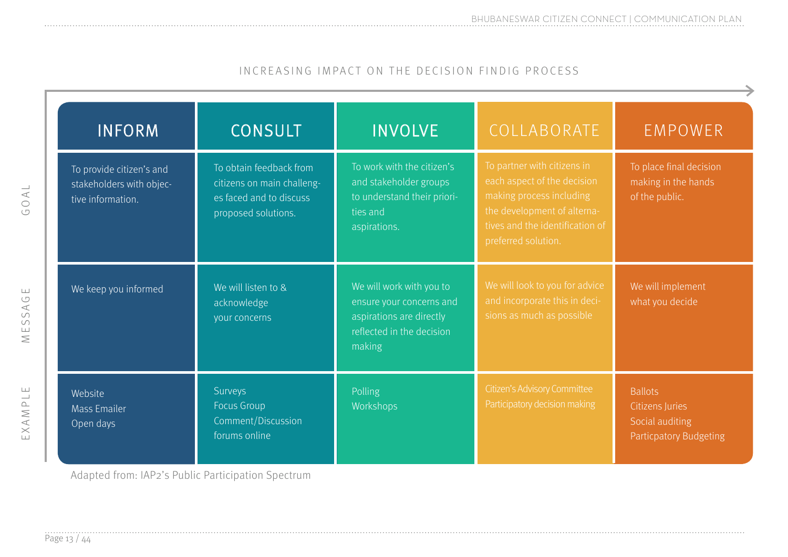#### INCREASING IMPACT ON THE DECISION FINDIG PROCESS

| <b>INFORM</b>                                                             | <b>CONSULT</b>                                                                                          | <b>INVOLVE</b>                                                                                                          | COLLABORATE                                                                                                                                                                     | <b>EMPOWER</b>                                                                        |
|---------------------------------------------------------------------------|---------------------------------------------------------------------------------------------------------|-------------------------------------------------------------------------------------------------------------------------|---------------------------------------------------------------------------------------------------------------------------------------------------------------------------------|---------------------------------------------------------------------------------------|
| To provide citizen's and<br>stakeholders with objec-<br>tive information. | To obtain feedback from<br>citizens on main challeng-<br>es faced and to discuss<br>proposed solutions. | To work with the citizen's<br>and stakeholder groups<br>to understand their priori-<br>ties and<br>aspirations.         | To partner with citizens in<br>each aspect of the decision<br>making process including<br>the development of alterna-<br>tives and the identification of<br>preferred solution. | To place final decision<br>making in the hands<br>of the public.                      |
| We keep you informed                                                      | We will listen to &<br>acknowledge<br>your concerns                                                     | We will work with you to<br>ensure your concerns and<br>aspirations are directly<br>reflected in the decision<br>making | We will look to you for advice<br>and incorporate this in deci-<br>sions as much as possible                                                                                    | We will implement<br>what you decide                                                  |
| Website<br><b>Mass Emailer</b><br>Open days                               | Surveys<br>Focus Group<br>Comment/Discussion<br>forums online                                           | Polling<br>Workshops                                                                                                    | Citizen's Advisory Committee<br>Participatory decision making                                                                                                                   | <b>Ballots</b><br>Citizens Juries<br>Social auditing<br><b>Particpatory Budgeting</b> |

Adapted from: IAP2's Public Participation Spectrum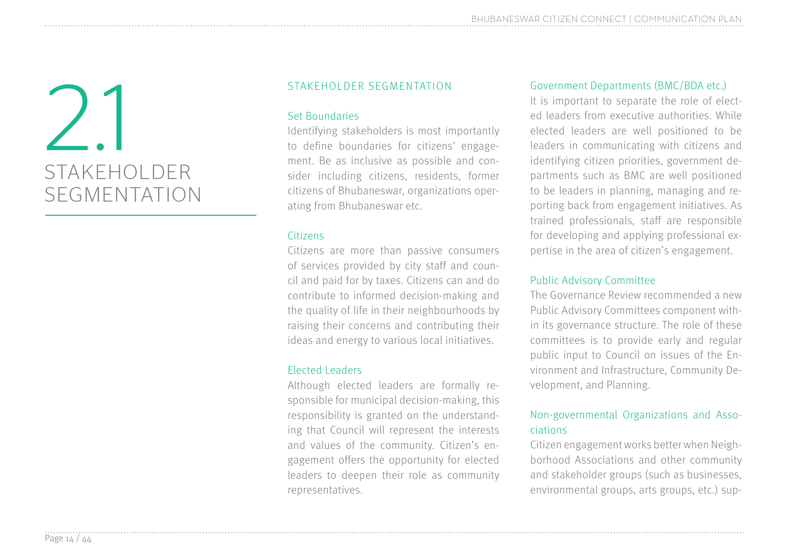## STAKEHOLDER SEGMENTATION 2.1

#### STAKEHOLDER SEGMENTATION

#### Set Boundaries

Identifying stakeholders is most importantly to define boundaries for citizens' engagement. Be as inclusive as possible and consider including citizens, residents, former citizens of Bhubaneswar, organizations operating from Bhubaneswar etc.

#### Citizens

Citizens are more than passive consumers of services provided by city staff and council and paid for by taxes. Citizens can and do contribute to informed decision-making and the quality of life in their neighbourhoods by raising their concerns and contributing their ideas and energy to various local initiatives.

#### Elected Leaders

Although elected leaders are formally responsible for municipal decision-making, this responsibility is granted on the understanding that Council will represent the interests and values of the community. Citizen's engagement offers the opportunity for elected leaders to deepen their role as community representatives.

#### Government Departments (BMC/BDA etc.)

It is important to separate the role of elected leaders from executive authorities. While elected leaders are well positioned to be leaders in communicating with citizens and identifying citizen priorities, government departments such as BMC are well positioned to be leaders in planning, managing and reporting back from engagement initiatives. As trained professionals, staff are responsible for developing and applying professional expertise in the area of citizen's engagement.

#### Public Advisory Committee

The Governance Review recommended a new Public Advisory Committees component within its governance structure. The role of these committees is to provide early and regular public input to Council on issues of the Environment and Infrastructure, Community Development, and Planning.

#### Non-governmental Organizations and Associations

Citizen engagement works better when Neighborhood Associations and other community and stakeholder groups (such as businesses, environmental groups, arts groups, etc.) sup-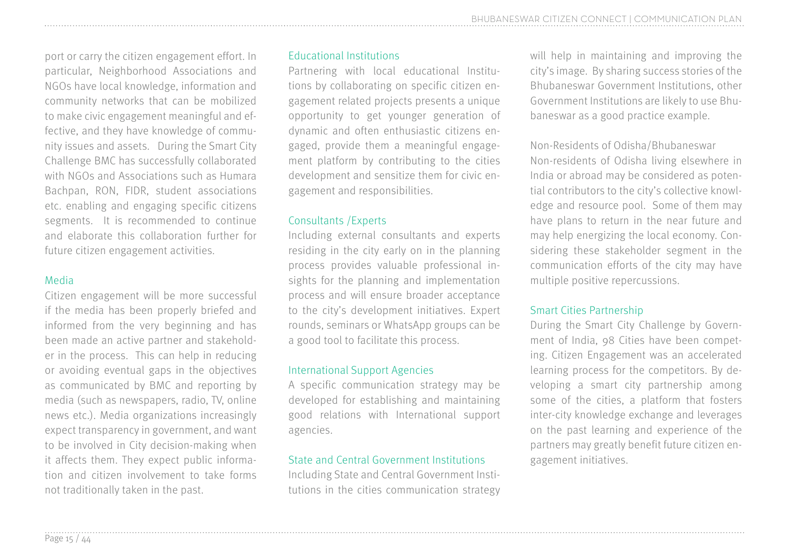port or carry the citizen engagement effort. In particular, Neighborhood Associations and NGOs have local knowledge, information and community networks that can be mobilized to make civic engagement meaningful and effective, and they have knowledge of community issues and assets. During the Smart City Challenge BMC has successfully collaborated with NGOs and Associations such as Humara Bachpan, RON, FIDR, student associations etc. enabling and engaging specific citizens segments. It is recommended to continue and elaborate this collaboration further for future citizen engagement activities.

#### Media

Citizen engagement will be more successful if the media has been properly briefed and informed from the very beginning and has been made an active partner and stakeholder in the process. This can help in reducing or avoiding eventual gaps in the objectives as communicated by BMC and reporting by media (such as newspapers, radio, TV, online news etc.). Media organizations increasingly expect transparency in government, and want to be involved in City decision-making when it affects them. They expect public information and citizen involvement to take forms not traditionally taken in the past.

#### Educational Institutions

Partnering with local educational Institutions by collaborating on specific citizen engagement related projects presents a unique opportunity to get younger generation of dynamic and often enthusiastic citizens engaged, provide them a meaningful engagement platform by contributing to the cities development and sensitize them for civic engagement and responsibilities.

#### Consultants /Experts

Including external consultants and experts residing in the city early on in the planning process provides valuable professional insights for the planning and implementation process and will ensure broader acceptance to the city's development initiatives. Expert rounds, seminars or WhatsApp groups can be a good tool to facilitate this process.

#### International Support Agencies

A specific communication strategy may be developed for establishing and maintaining good relations with International support agencies.

#### State and Central Government Institutions

Including State and Central Government Institutions in the cities communication strategy will help in maintaining and improving the city's image. By sharing success stories of the Bhubaneswar Government Institutions, other Government Institutions are likely to use Bhubaneswar as a good practice example.

Non-Residents of Odisha/Bhubaneswar Non-residents of Odisha living elsewhere in India or abroad may be considered as potential contributors to the city's collective knowledge and resource pool. Some of them may have plans to return in the near future and may help energizing the local economy. Considering these stakeholder segment in the communication efforts of the city may have multiple positive repercussions.

#### Smart Cities Partnership

During the Smart City Challenge by Government of India, 98 Cities have been competing. Citizen Engagement was an accelerated learning process for the competitors. By developing a smart city partnership among some of the cities, a platform that fosters inter-city knowledge exchange and leverages on the past learning and experience of the partners may greatly benefit future citizen engagement initiatives.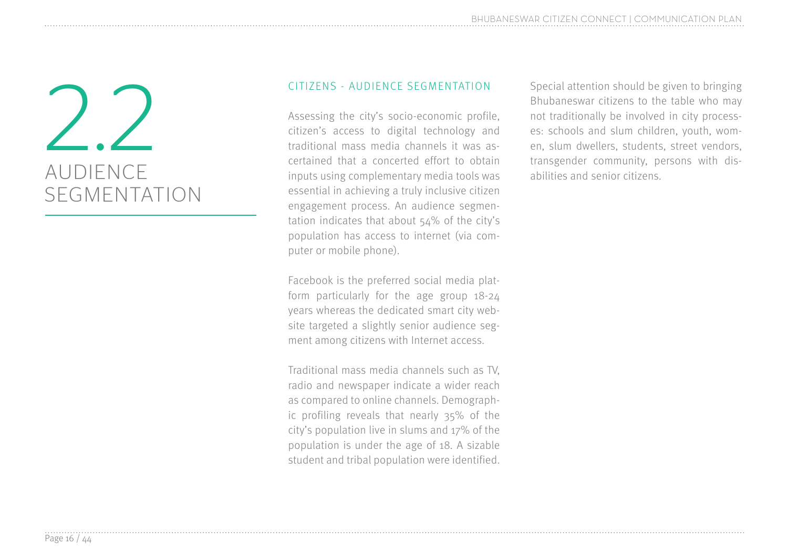## AUDIENCE SEGMENTATION

#### CITIZENS - AUDIENCE SEGMENTATION

Assessing the city's socio-economic profile, citizen's access to digital technology and traditional mass media channels it was ascertained that a concerted effort to obtain inputs using complementary media tools was essential in achieving a truly inclusive citizen engagement process. An audience segmentation indicates that about 54% of the city's population has access to internet (via computer or mobile phone).

Facebook is the preferred social media platform particularly for the age group 18-24 years whereas the dedicated smart city website targeted a slightly senior audience segment among citizens with Internet access.

Traditional mass media channels such as TV, radio and newspaper indicate a wider reach as compared to online channels. Demographic profiling reveals that nearly 35% of the city's population live in slums and 17% of the population is under the age of 18. A sizable student and tribal population were identified.

CITIZENS - AUDIENCE SEGMENTATION<br>
Assessing the city's socio-economic profile,<br>
Assessing the city's socio-economic profile,<br>
and traditionally be involved in city process-<br>
citizen's access to digital technology and<br>
trad Bhubaneswar citizens to the table who may not traditionally be involved in city processes: schools and slum children, youth, women, slum dwellers, students, street vendors, transgender community, persons with disabilities and senior citizens.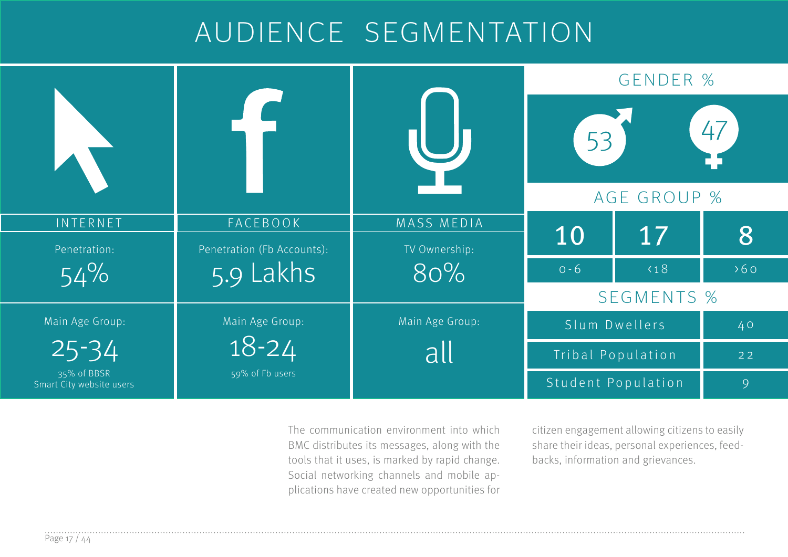### AUDIENCE SEGMENTATION

|                                         |                            |                 | <b>GENDER %</b>         |                    |     |  |
|-----------------------------------------|----------------------------|-----------------|-------------------------|--------------------|-----|--|
|                                         |                            |                 | 47<br>53<br>AGE GROUP % |                    |     |  |
| INTERNET                                | FACEBOOK                   | MASS MEDIA      |                         |                    |     |  |
| Penetration:                            | Penetration (Fb Accounts): | TV Ownership:   | 10                      | 17                 | 8   |  |
| 54%                                     | 5.9 Lakhs                  | 80%             | $0 - 6$                 | $\langle 18$       | 560 |  |
|                                         |                            |                 | <b>SEGMENTS %</b>       |                    |     |  |
| Main Age Group:                         | Main Age Group:            | Main Age Group: |                         | Slum Dwellers      | 40  |  |
| $25 - 34$                               | $18 - 24$<br>all           |                 |                         | Tribal Population  | 22  |  |
| 35% of BBSR<br>Smart City website users | 59% of Fb users            |                 |                         | Student Population | 9   |  |

The communication environment into which BMC distributes its messages, along with the tools that it uses, is marked by rapid change. Social networking channels and mobile applications have created new opportunities for

citizen engagement allowing citizens to easily share their ideas, personal experiences, feedbacks, information and grievances.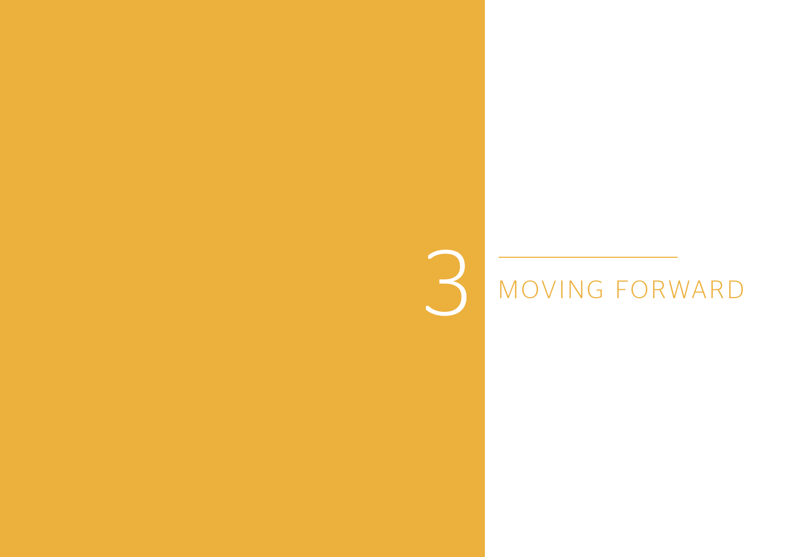## 3 MOVING FORWARD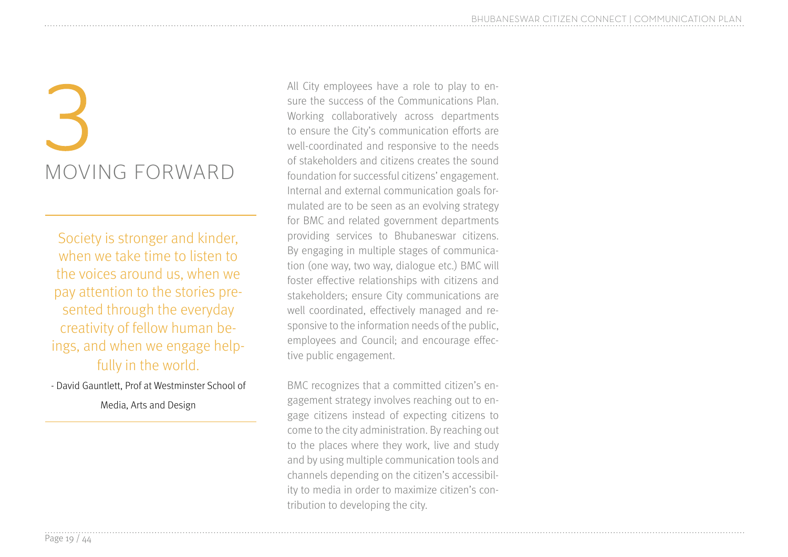## MOVING FORWARD 3

Society is stronger and kinder, when we take time to listen to the voices around us, when we pay attention to the stories presented through the everyday creativity of fellow human beings, and when we engage helpfully in the world.

- David Gauntlett, Prof at Westminster School of

Media, Arts and Design

All City employees have a role to play to ensure the success of the Communications Plan. Working collaboratively across departments to ensure the City's communication efforts are well-coordinated and responsive to the needs of stakeholders and citizens creates the sound foundation for successful citizens' engagement. Internal and external communication goals formulated are to be seen as an evolving strategy for BMC and related government departments providing services to Bhubaneswar citizens. By engaging in multiple stages of communication (one way, two way, dialogue etc.) BMC will foster effective relationships with citizens and stakeholders; ensure City communications are well coordinated, effectively managed and responsive to the information needs of the public, employees and Council; and encourage effective public engagement.

BMC recognizes that a committed citizen's engagement strategy involves reaching out to engage citizens instead of expecting citizens to come to the city administration. By reaching out to the places where they work, live and study and by using multiple communication tools and channels depending on the citizen's accessibility to media in order to maximize citizen's contribution to developing the city.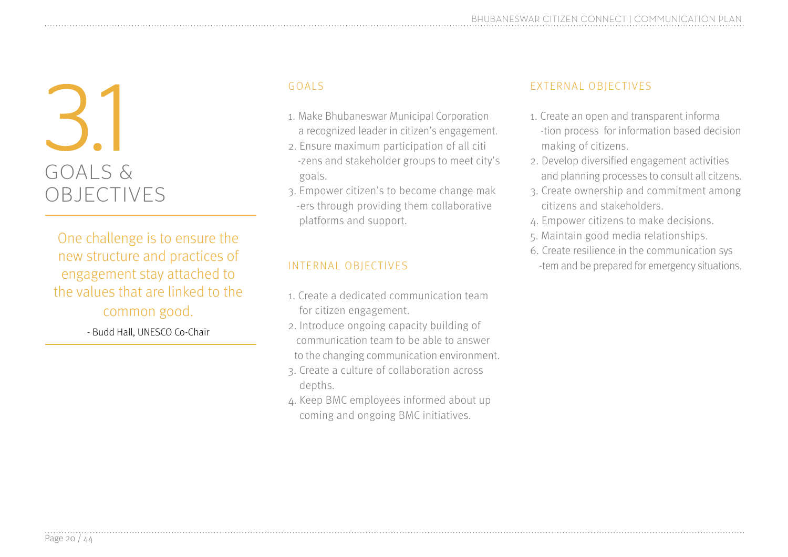## GOALS & OBJECTIVES GOALS<br>1. Make<br>a reco

One challenge is to ensure the new structure and practices of engagement stay attached to the values that are linked to the common good.

- Budd Hall, UNESCO Co-Chair

- 1. Make Bhubaneswar Municipal Corporation a recognized leader in citizen's engagement.
- 2. Ensure maximum participation of all citi -zens and stakeholder groups to meet city's goals.
- 3. Empower citizen's to become change mak -ers through providing them collaborative platforms and support.

#### INTERNAL OBJECTIVES

- 1. Create a dedicated communication team for citizen engagement.
- 2. Introduce ongoing capacity building of communication team to be able to answer to the changing communication environment.
- 3. Create a culture of collaboration across depths.
- 4. Keep BMC employees informed about up coming and ongoing BMC initiatives.

#### EXTERNAL OBJECTIVES

- 1. Create an open and transparent informa -tion process for information based decision making of citizens.
- 2. Develop diversified engagement activities and planning processes to consult all citzens.
- 3. Create ownership and commitment among citizens and stakeholders.
- 4. Empower citizens to make decisions.
- 5. Maintain good media relationships.
- 6. Create resilience in the communication sys -tem and be prepared for emergency situations.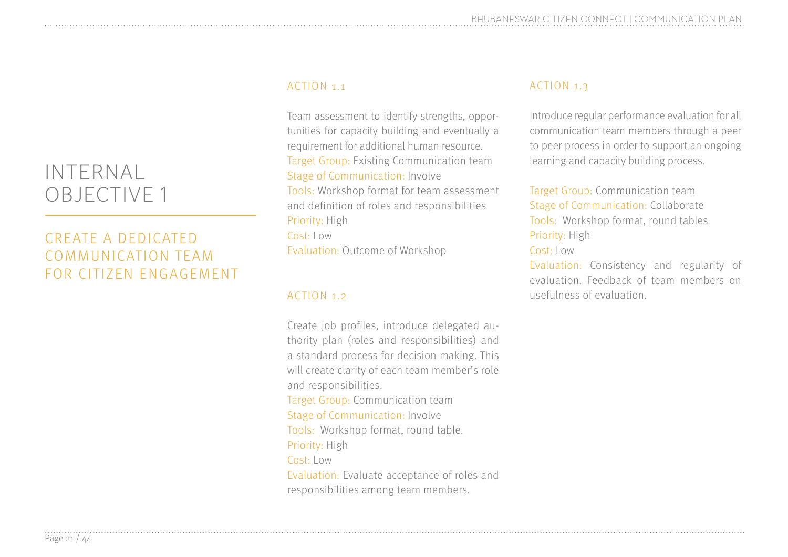#### CREATE A DEDICATED COMMUNICATION TEAM FOR CITIZEN ENGAGEMENT

#### ACTION 1.1

Team assessment to identify strengths, opportunities for capacity building and eventually a requirement for additional human resource. Target Group: Existing Communication team Stage of Communication: Involve Tools: Workshop format for team assessment and definition of roles and responsibilities Priority: High Cost: Low Evaluation: Outcome of Workshop

#### ACTION 1.2

Create job profiles, introduce delegated authority plan (roles and responsibilities) and a standard process for decision making. This will create clarity of each team member's role and responsibilities. Target Group: Communication team Stage of Communication: Involve Tools: Workshop format, round table. Priority: High Cost: Low Evaluation: Evaluate acceptance of roles and responsibilities among team members.

#### ACTION 1.3

Introduce regular performance evaluation for all communication team members through a peer to peer process in order to support an ongoing learning and capacity building process.

Target Group: Communication team Stage of Communication: Collaborate Tools: Workshop format, round tables Priority: High

#### Cost: Low

Evaluation: Consistency and regularity of evaluation. Feedback of team members on usefulness of evaluation.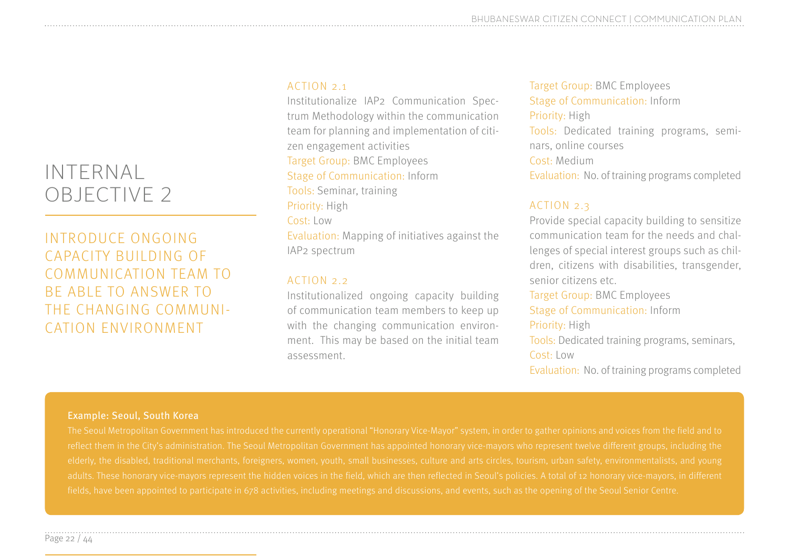#### INTRODUCE ONGOING CAPACITY BUILDING OF COMMUNICATION TEAM TO BE ABLE TO ANSWER TO THE CHANGING COMMUNI-CATION ENVIRONMENT

#### ACTION 2.1

Institutionalize IAP2 Communication Spectrum Methodology within the communication team for planning and implementation of citizen engagement activities Target Group: BMC Employees Stage of Communication: Inform Tools: Seminar, training Priority: High Cost: Low Evaluation: Mapping of initiatives against the IAP2 spectrum

#### ACTION 2.2

Institutionalized ongoing capacity building of communication team members to keep up with the changing communication environment. This may be based on the initial team assessment.

Target Group: BMC Employees Stage of Communication: Inform Priority: High Tools: Dedicated training programs, seminars, online courses Cost: Medium Evaluation: No. of training programs completed

#### ACTION 2.3

Provide special capacity building to sensitize communication team for the needs and challenges of special interest groups such as children, citizens with disabilities, transgender, senior citizens etc.

Target Group: BMC Employees Stage of Communication: Inform Priority: High Tools: Dedicated training programs, seminars, Cost: Low Evaluation: No. of training programs completed

#### Example: Seoul, South Korea

fields, have been appointed to participate in 678 activities, including meetings and discussions, and events, such as the opening of the Seoul Senior Centre.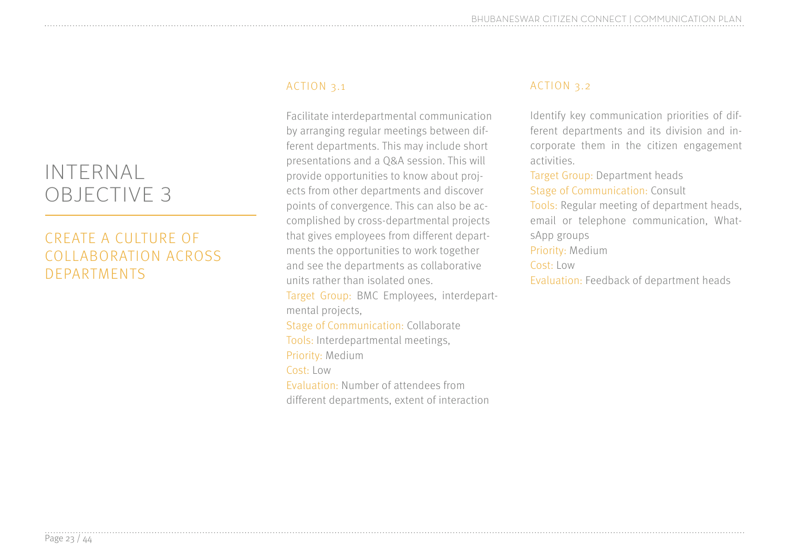#### CREATE A CULTURE OF COLLABORATION ACROSS DEPARTMENTS

#### ACTION 3.1

Facilitate interdepartmental communication by arranging regular meetings between different departments. This may include short presentations and a Q&A session. This will provide opportunities to know about projects from other departments and discover points of convergence. This can also be accomplished by cross-departmental projects that gives employees from different departments the opportunities to work together and see the departments as collaborative units rather than isolated ones. Target Group: BMC Employees, interdepartmental projects, Stage of Communication: Collaborate Tools: Interdepartmental meetings, Priority: Medium Cost: Low Evaluation: Number of attendees from different departments, extent of interaction

#### ACTION 3.2

Identify key communication priorities of different departments and its division and incorporate them in the citizen engagement activities.

Target Group: Department heads Stage of Communication: Consult

Tools: Regular meeting of department heads, email or telephone communication, WhatsApp groups

Priority: Medium

#### Cost: Low

Evaluation: Feedback of department heads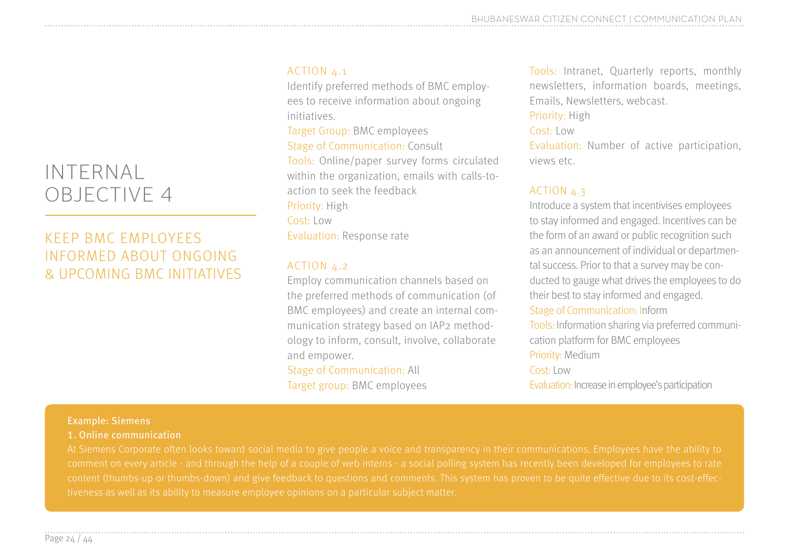#### KEEP BMC EMPLOYEES INFORMED ABOUT ONGOING & UPCOMING BMC INITIATIVES

#### ACTION 4.1

Identify preferred methods of BMC employees to receive information about ongoing initiatives.

Target Group: BMC employees Stage of Communication: Consult Tools: Online/paper survey forms circulated within the organization, emails with calls-toaction to seek the feedback Priority: High Cost: Low Evaluation: Response rate

#### ACTION 4.2

Employ communication channels based on the preferred methods of communication (of BMC employees) and create an internal communication strategy based on IAP2 methodology to inform, consult, involve, collaborate and empower.

Stage of Communication: All Target group: BMC employees Tools: Intranet, Quarterly reports, monthly newsletters, information boards, meetings, Emails, Newsletters, webcast.

#### Priority: High

Cost: Low

Evaluation: Number of active participation, views etc.

#### ACTION 4.3

Introduce a system that incentivises employees to stay informed and engaged. Incentives can be the form of an award or public recognition such as an announcement of individual or departmental success. Prior to that a survey may be conducted to gauge what drives the employees to do their best to stay informed and engaged. Stage of Communication: Inform Tools: Information sharing via preferred communication platform for BMC employees Priority: Medium Cost: Low Evaluation: Increase in employee's participation

#### Example: Siemens

1. Online communication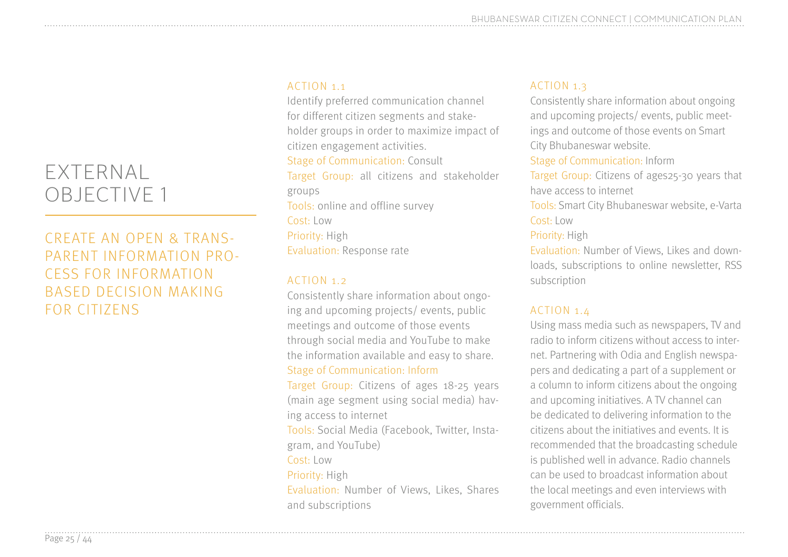#### EXTERNAL OBJECTIVE 1

#### CREATE AN OPEN & TRANS-PARENT INFORMATION PRO-CESS FOR INFORMATION BASED DECISION MAKING FOR CITIZENS

#### ACTION 1.1

Identify preferred communication channel for different citizen segments and stakeholder groups in order to maximize impact of citizen engagement activities. Stage of Communication: Consult Target Group: all citizens and stakeholder groups Tools: online and offline survey Cost: Low Priority: High Evaluation: Response rate

#### ACTION 1.2

Consistently share information about ongoing and upcoming projects/ events, public meetings and outcome of those events through social media and YouTube to make the information available and easy to share. Stage of Communication: Inform

Target Group: Citizens of ages 18-25 years (main age segment using social media) having access to internet

Tools: Social Media (Facebook, Twitter, Instagram, and YouTube)

Cost: Low

Priority: High

Evaluation: Number of Views, Likes, Shares and subscriptions

#### ACTION 1.3

Consistently share information about ongoing and upcoming projects/ events, public meetings and outcome of those events on Smart City Bhubaneswar website.

Stage of Communication: Inform

Target Group: Citizens of ages25-30 years that have access to internet

Tools: Smart City Bhubaneswar website, e-Varta Cost: Low

#### Priority: High

Evaluation: Number of Views, Likes and downloads, subscriptions to online newsletter, RSS subscription

#### ACTION 1.4

Using mass media such as newspapers, TV and radio to inform citizens without access to internet. Partnering with Odia and English newspapers and dedicating a part of a supplement or a column to inform citizens about the ongoing and upcoming initiatives. A TV channel can be dedicated to delivering information to the citizens about the initiatives and events. It is recommended that the broadcasting schedule is published well in advance. Radio channels can be used to broadcast information about the local meetings and even interviews with government officials.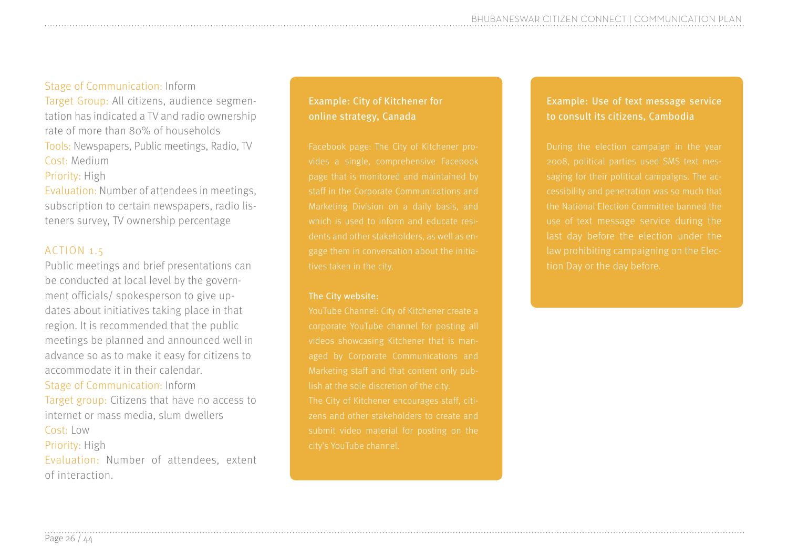#### Stage of Communication: Inform

Target Group: All citizens, audience segmentation has indicated a TV and radio ownership rate of more than 80% of households Tools: Newspapers, Public meetings, Radio, TV Cost: Medium Priority: High

Evaluation: Number of attendees in meetings, subscription to certain newspapers, radio listeners survey, TV ownership percentage

#### ACTION 1.5

Public meetings and brief presentations can be conducted at local level by the government officials/ spokesperson to give updates about initiatives taking place in that region. It is recommended that the public meetings be planned and announced well in advance so as to make it easy for citizens to accommodate it in their calendar. Stage of Communication: Inform Target group: Citizens that have no access to internet or mass media, slum dwellers Cost: Low Priority: High Evaluation: Number of attendees, extent of interaction.

#### Example: City of Kitchener for online strategy, Canada

which is used to inform and educate resigage them in conversation about the initia-

#### The City website:

zens and other stakeholders to create and

#### Example: Use of text message service to consult its citizens, Cambodia

the National Election Committee banned the last day before the election under the tion Day or the day before.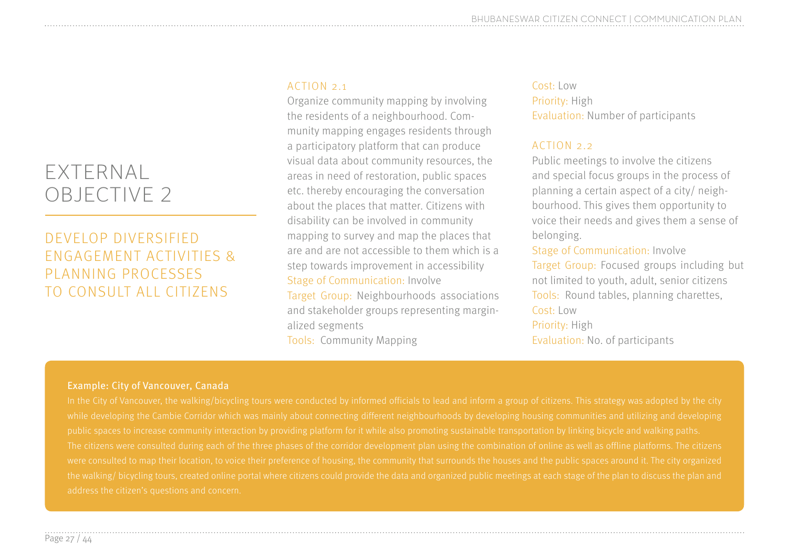#### EXTERNAL OBJECTIVE 2

#### DEVELOP DIVERSIFIED ENGAGEMENT ACTIVITIES & PLANNING PROCESSES TO CONSULT ALL CITIZENS

#### ACTION 2.1

Organize community mapping by involving the residents of a neighbourhood. Community mapping engages residents through a participatory platform that can produce visual data about community resources, the areas in need of restoration, public spaces etc. thereby encouraging the conversation about the places that matter. Citizens with disability can be involved in community mapping to survey and map the places that are and are not accessible to them which is a step towards improvement in accessibility Stage of Communication: Involve Target Group: Neighbourhoods associations and stakeholder groups representing marginalized segments Tools: Community Mapping

#### Cost: Low Priority: High Evaluation: Number of participants

#### ACTION 2.2

Public meetings to involve the citizens and special focus groups in the process of planning a certain aspect of a city/ neighbourhood. This gives them opportunity to voice their needs and gives them a sense of belonging.

Stage of Communication: Involve Target Group: Focused groups including but not limited to youth, adult, senior citizens Tools: Round tables, planning charettes, Cost: Low Priority: High Evaluation: No. of participants

#### Example: City of Vancouver, Canada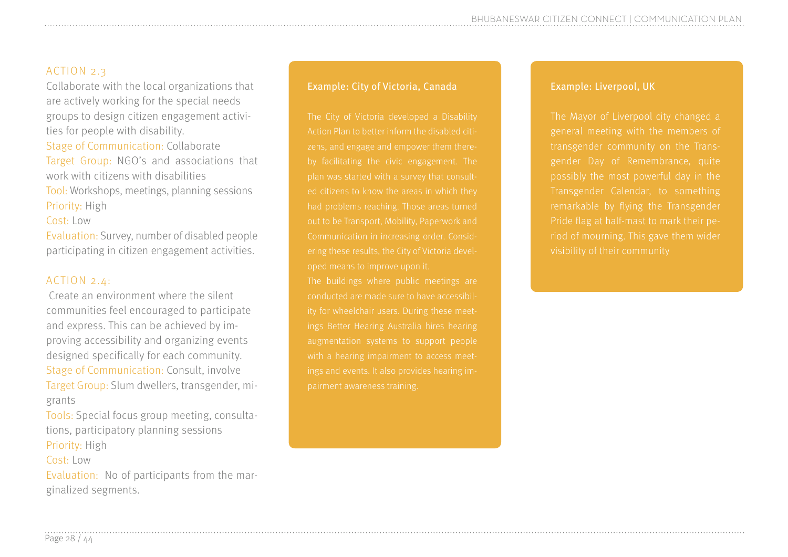#### ACTION 2.3

Collaborate with the local organizations that are actively working for the special needs groups to design citizen engagement activities for people with disability. Stage of Communication: Collaborate Target Group: NGO's and associations that work with citizens with disabilities Tool: Workshops, meetings, planning sessions Priority: High

Cost: Low

Evaluation: Survey, number of disabled people participating in citizen engagement activities.

#### ACTION 2.4:

 Create an environment where the silent communities feel encouraged to participate and express. This can be achieved by improving accessibility and organizing events designed specifically for each community. Stage of Communication: Consult, involve Target Group: Slum dwellers, transgender, migrants

Tools: Special focus group meeting, consultations, participatory planning sessions Priority: High Cost: Low

Evaluation: No of participants from the marginalized segments.

#### Example: City of Victoria, Canada

The City of Victoria developed a Disability Action Plan to better inform the disabled citioped means to improve upon it.

ings Better Hearing Australia hires hearing augmentation systems to support people

#### Example: Liverpool, UK

The Mayor of Liverpool city changed a general meeting with the members of gender Day of Remembrance, quite riod of mourning. This gave them wider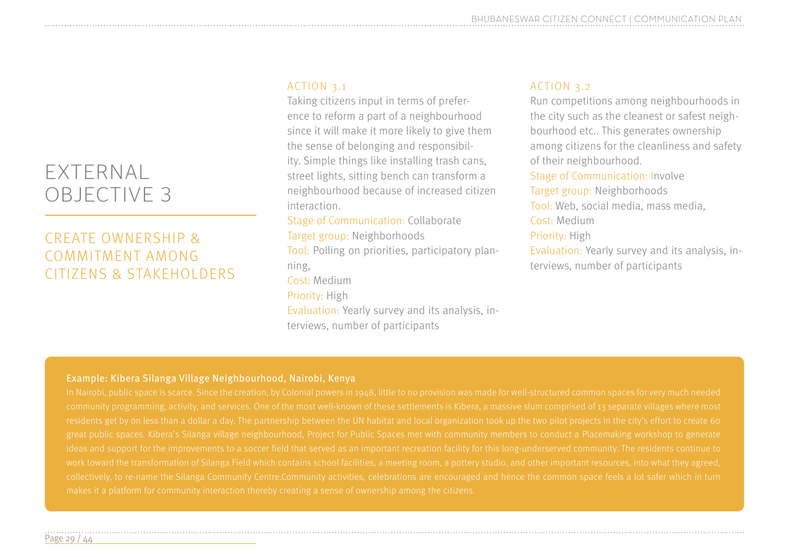#### EXTERNAL OBJECTIVE 3

#### CREATE OWNERSHIP & COMMITMENT AMONG CITIZENS & STAKEHOLDERS

#### ACTION 3.1

Taking citizens input in terms of preference to reform a part of a neighbourhood since it will make it more likely to give them the sense of belonging and responsibility. Simple things like installing trash cans, street lights, sitting bench can transform a neighbourhood because of increased citizen interaction.

Stage of Communication: Collaborate Target group: Neighborhoods Tool: Polling on priorities, participatory planning, Cost: Medium Priority: High Evaluation: Yearly survey and its analysis, interviews, number of participants

#### ACTION 3.2

Run competitions among neighbourhoods in the city such as the cleanest or safest neighbourhood etc.. This generates ownership among citizens for the cleanliness and safety of their neighbourhood. Stage of Communication: Involve Target group: Neighborhoods Tool: Web, social media, mass media, Cost: Medium Priority: High Evaluation: Yearly survey and its analysis, in-

terviews, number of participants

#### Example: Kibera Silanga Village Neighbourhood, Nairobi, Kenya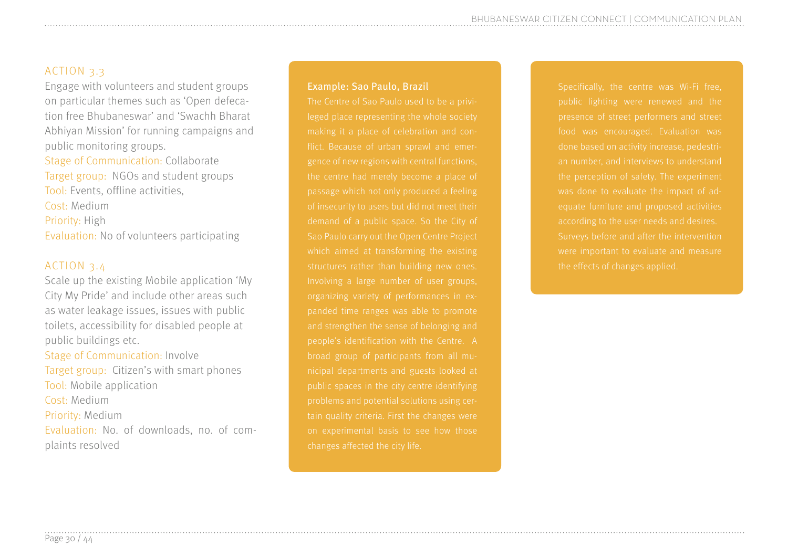#### ACTION 3.3

Engage with volunteers and student groups on particular themes such as 'Open defecation free Bhubaneswar' and 'Swachh Bharat Abhiyan Mission' for running campaigns and public monitoring groups. Stage of Communication: Collaborate Target group: NGOs and student groups Tool: Events, offline activities, Cost: Medium Priority: High

Evaluation: No of volunteers participating

#### ACTION 3.4

Scale up the existing Mobile application 'My City My Pride' and include other areas such as water leakage issues, issues with public toilets, accessibility for disabled people at public buildings etc. Stage of Communication: Involve Target group: Citizen's with smart phones Tool: Mobile application Cost: Medium Priority: Medium Evaluation: No. of downloads, no. of complaints resolved

#### Example: Sao Paulo, Brazil

Specifically, the centre was Wi-Fi free, were important to evaluate and measure the effects of changes applied.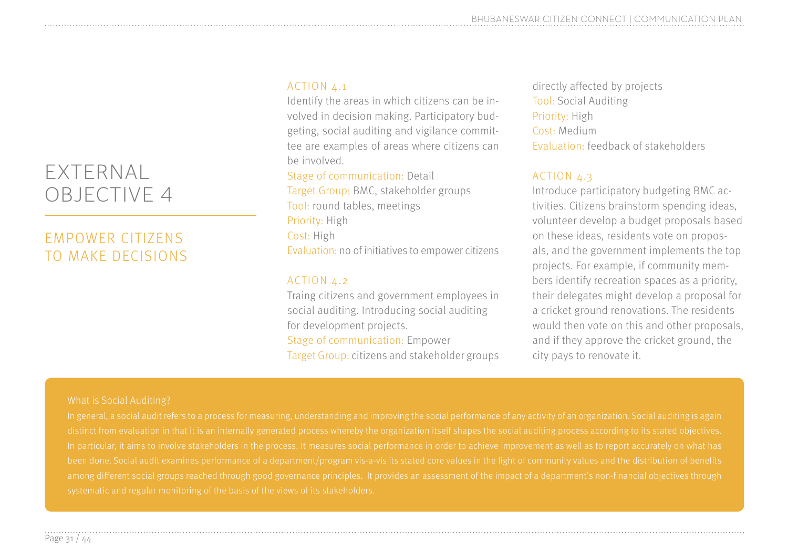#### EXTERNAL OBJECTIVE 4

#### EMPOWER CITIZENS TO MAKE DECISIONS

#### ACTION 4.1

Identify the areas in which citizens can be involved in decision making. Participatory budgeting, social auditing and vigilance committee are examples of areas where citizens can be involved.

#### Stage of communication: Detail

Target Group: BMC, stakeholder groups Tool: round tables, meetings Priority: High Cost: High Evaluation: no of initiatives to empower citizens

#### ACTION  $4.2$

Traing citizens and government employees in social auditing. Introducing social auditing for development projects. Stage of communication: Empower Target Group: citizens and stakeholder groups

directly affected by projects Tool: Social Auditing Priority: High Cost: Medium Evaluation: feedback of stakeholders

#### ACTION 4.3

Introduce participatory budgeting BMC activities. Citizens brainstorm spending ideas, volunteer develop a budget proposals based on these ideas, residents vote on proposals, and the government implements the top projects. For example, if community members identify recreation spaces as a priority, their delegates might develop a proposal for a cricket ground renovations. The residents would then vote on this and other proposals, and if they approve the cricket ground, the city pays to renovate it.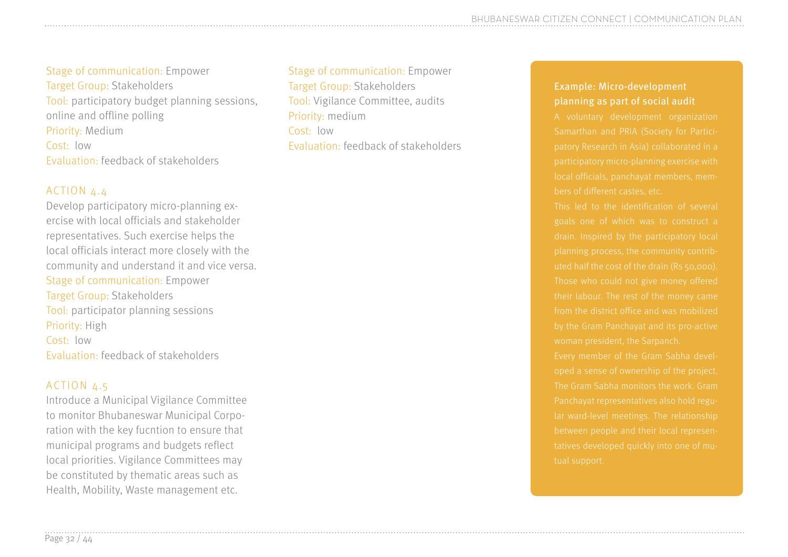Stage of communication: Empower Target Group: Stakeholders Tool: participatory budget planning sessions, online and offline polling Priority: Medium Cost: low Evaluation: feedback of stakeholders

#### ACTION 4.4

Develop participatory micro-planning exercise with local officials and stakeholder representatives. Such exercise helps the local officials interact more closely with the community and understand it and vice versa. Stage of communication: Empower Target Group: Stakeholders Tool: participator planning sessions Priority: High Cost: low Evaluation: feedback of stakeholders

#### ACTION 4.5

Introduce a Municipal Vigilance Committee to monitor Bhubaneswar Municipal Corporation with the key fucntion to ensure that municipal programs and budgets reflect local priorities. Vigilance Committees may be constituted by thematic areas such as Health, Mobility, Waste management etc.

Stage of communication: Empower Target Group: Stakeholders Tool: Vigilance Committee, audits Priority: medium Cost: low Evaluation: feedback of stakeholders

#### Example: Micro-development planning as part of social audit

This led to the identification of several their labour. The rest of the money came from the district office and was mobilized

oped a sense of ownership of the project. tatives developed quickly into one of mu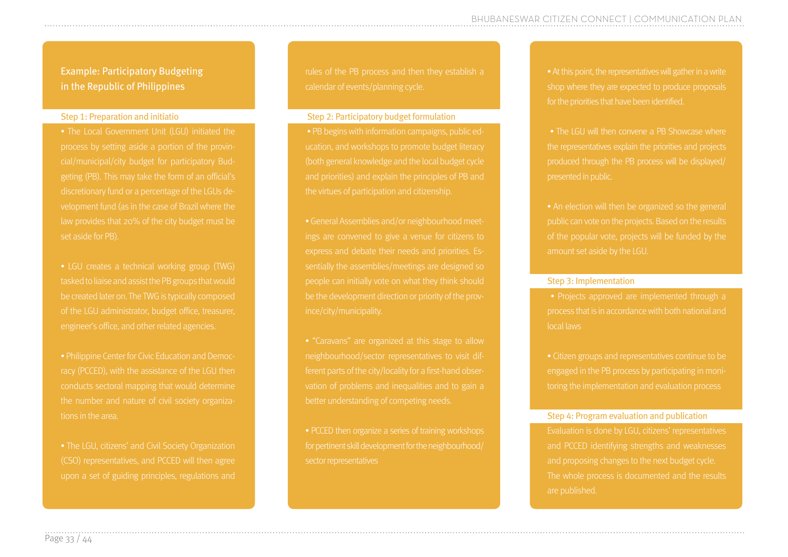Example: Participatory Budgeting in the Republic of Philippines

#### Step 1: Preparation and initiatio

• The Local Government Unit (LGU) initiated the cial/municipal/city budget for participatory Buddiscretionary fund or a percentage of the LGUs development fund (as in the case of Brazil where the law provides that 20% of the city budget must be set aside for PB).

• LGU creates a technical working group (TWG) tasked to liaise and assist the PB groups that would be created later on. The TWG is typically composed of the LGU administrator, budget office, treasurer, engineer's office, and other related agencies.

• Philippine Center for Civic Education and Democracy (PCCED), with the assistance of the LGU then the number and nature of civil society organizations in the area.

• The LGU, citizens' and Civil Society Organization (CSO) representatives, and PCCED will then agree upon a set of guiding principles, regulations and rules of the PB process and then they establish a calendar of events/planning cycle.

#### Step 2: Participatory budget formulation

 • PB begins with information campaigns, public ed-(both general knowledge and the local budget cycle and priorities) and explain the principles of PB and the virtues of participation and citizenship.

express and debate their needs and priorities. Espeople can initially vote on what they think should be the development direction or priority of the province/city/municipality.

ferent parts of the city/locality for a first-hand obser-

• PCCED then organize a series of training workshops for pertinent skill development for the neighbourhood/ sector representatives

• At this point, the representatives will gather in a write shop where they are expected to produce proposals for the priorities that have been identified.

• The LGU will then convene a PB Showcase where the representatives explain the priorities and projects produced through the PB process will be displayed/ presented in public.

• An election will then be organized so the general public can vote on the projects. Based on the results of the popular vote, projects will be funded by the

#### Step 3: Implementation

 • Projects approved are implemented through a process that is in accordance with both national and local laws

engaged in the PB process by participating in moni-

#### Step 4: Program evaluation and publication

and PCCED identifying strengths and weaknesses and proposing changes to the next budget cycle. The whole process is documented and the results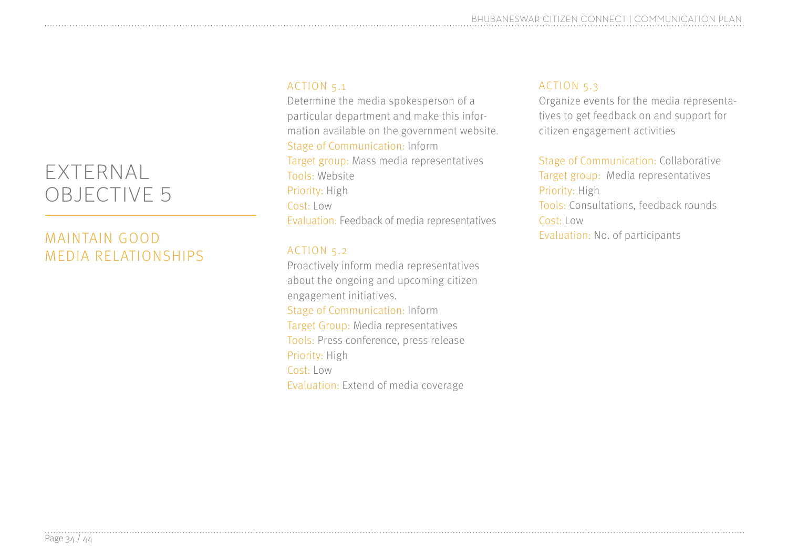#### EXTERNAL OBJECTIVE 5

#### MAINTAIN GOOD MEDIA RELATIONSHIPS

#### ACTION 5.1

Determine the media spokesperson of a particular department and make this information available on the government website. Stage of Communication: Inform Target group: Mass media representatives Tools: Website Priority: High Cost: Low Evaluation: Feedback of media representatives

#### ACTION 5.2

Proactively inform media representatives about the ongoing and upcoming citizen engagement initiatives. Stage of Communication: Inform Target Group: Media representatives Tools: Press conference, press release Priority: High Cost: Low Evaluation: Extend of media coverage

#### ACTION 5.3

Organize events for the media representatives to get feedback on and support for citizen engagement activities

Stage of Communication: Collaborative Target group: Media representatives Priority: High Tools: Consultations, feedback rounds Cost: Low Evaluation: No. of participants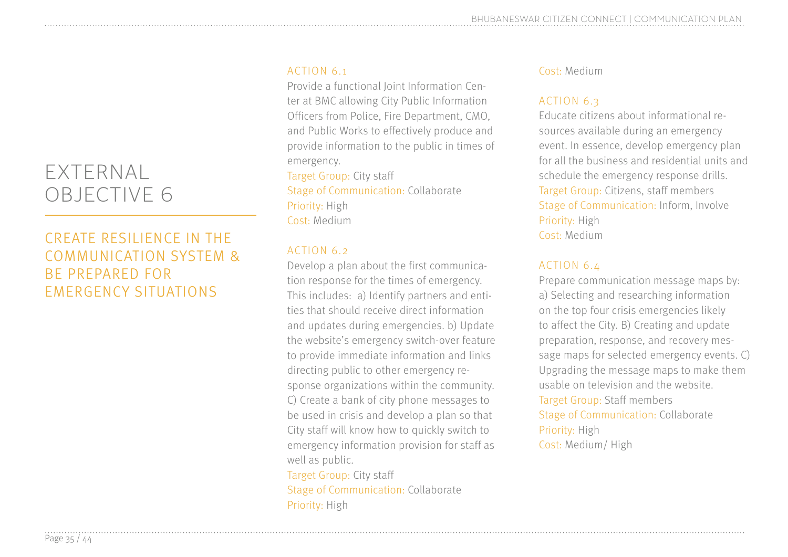#### EXTERNAL OBJECTIVE 6

#### CREATE RESILIENCE IN THE COMMUNICATION SYSTEM & BE PREPARED FOR EMERGENCY SITUATIONS

#### ACTION 6.1

Provide a functional Joint Information Center at BMC allowing City Public Information Officers from Police, Fire Department, CMO, and Public Works to effectively produce and provide information to the public in times of emergency.

Target Group: City staff Stage of Communication: Collaborate Priority: High Cost: Medium

#### ACTION 6.2

Develop a plan about the first communication response for the times of emergency. This includes: a) Identify partners and entities that should receive direct information and updates during emergencies. b) Update the website's emergency switch-over feature to provide immediate information and links directing public to other emergency response organizations within the community. C) Create a bank of city phone messages to be used in crisis and develop a plan so that City staff will know how to quickly switch to emergency information provision for staff as well as public. Target Group: City staff

Stage of Communication: Collaborate Priority: High

#### Cost: Medium

#### ACTION 6.3

Educate citizens about informational resources available during an emergency event. In essence, develop emergency plan for all the business and residential units and schedule the emergency response drills. Target Group: Citizens, staff members Stage of Communication: Inform, Involve Priority: High Cost: Medium

#### ACTION 6.4

Prepare communication message maps by: a) Selecting and researching information on the top four crisis emergencies likely to affect the City. B) Creating and update preparation, response, and recovery message maps for selected emergency events. C) Upgrading the message maps to make them usable on television and the website. Target Group: Staff members Stage of Communication: Collaborate Priority: High Cost: Medium/ High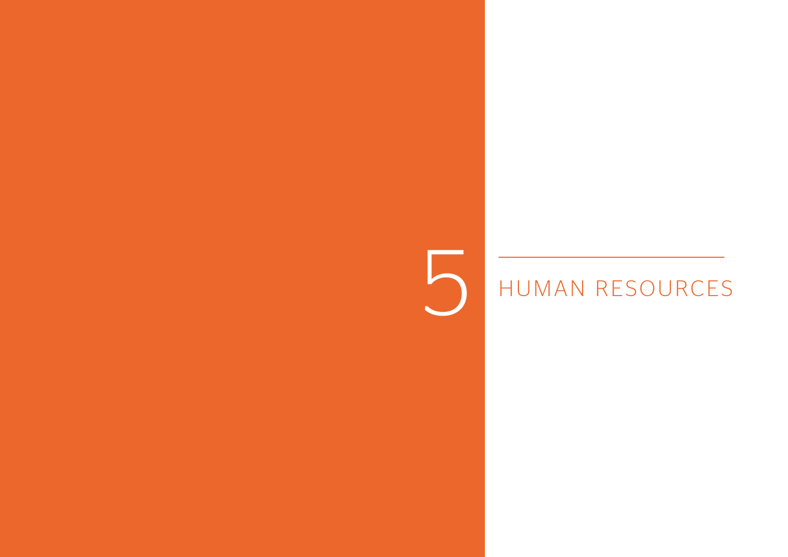### HUMAN RESOURCES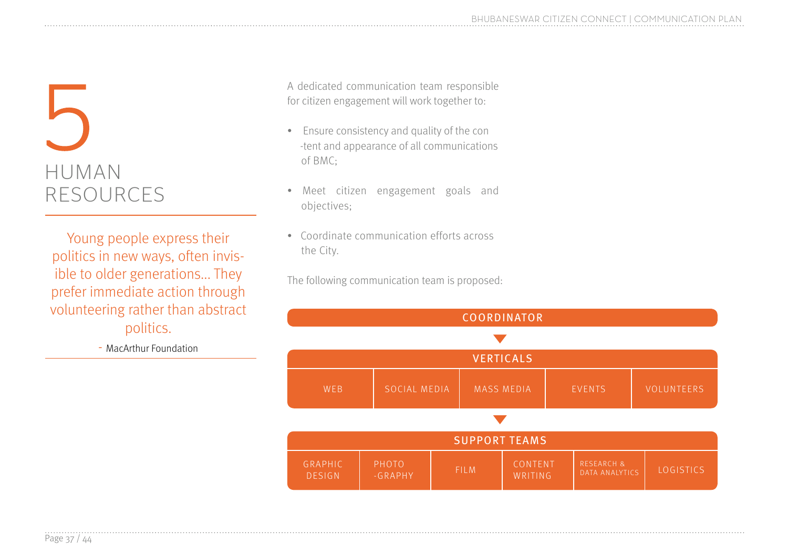

Young people express their politics in new ways, often invisible to older generations... They prefer immediate action through volunteering rather than abstract politics.

- MacArthur Foundation

A dedicated communication team responsible for citizen engagement will work together to:

- Ensure consistency and quality of the con -tent and appearance of all communications of BMC;
- Meet citizen engagement goals and objectives;
- Coordinate communication efforts across the City.

The following communication team is proposed:

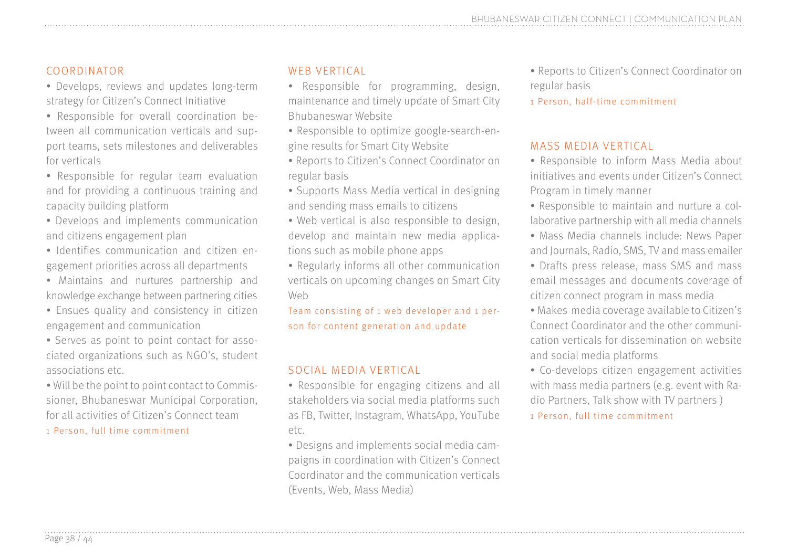#### COORDINATOR

• Develops, reviews and updates long-term strategy for Citizen's Connect Initiative

• Responsible for overall coordination between all communication verticals and support teams, sets milestones and deliverables for verticals

• Responsible for regular team evaluation and for providing a continuous training and capacity building platform

• Develops and implements communication and citizens engagement plan

• Identifies communication and citizen engagement priorities across all departments

• Maintains and nurtures partnership and knowledge exchange between partnering cities

• Ensues quality and consistency in citizen engagement and communication

• Serves as point to point contact for associated organizations such as NGO's, student associations etc.

• Will be the point to point contact to Commissioner, Bhubaneswar Municipal Corporation, for all activities of Citizen's Connect team

1 Person, full time commitment

#### WEB VERTICAL

• Responsible for programming, design, maintenance and timely update of Smart City Bhubaneswar Website

• Responsible to optimize google-search-engine results for Smart City Website

• Reports to Citizen's Connect Coordinator on regular basis

• Supports Mass Media vertical in designing and sending mass emails to citizens

• Web vertical is also responsible to design, develop and maintain new media applications such as mobile phone apps

• Regularly informs all other communication verticals on upcoming changes on Smart City Web

Team consisting of 1 web developer and 1 person for content generation and update

#### SOCIAL MEDIA VERTICAL

• Responsible for engaging citizens and all stakeholders via social media platforms such as FB, Twitter, Instagram, WhatsApp, YouTube etc.

• Designs and implements social media campaigns in coordination with Citizen's Connect Coordinator and the communication verticals (Events, Web, Mass Media)

- Reports to Citizen's Connect Coordinator on regular basis
- 1 Person, half-time commitment

#### MASS MEDIA VERTICAL

- Responsible to inform Mass Media about initiatives and events under Citizen's Connect Program in timely manner
- Responsible to maintain and nurture a collaborative partnership with all media channels
- Mass Media channels include: News Paper and Journals, Radio, SMS, TV and mass emailer
- Drafts press release, mass SMS and mass email messages and documents coverage of citizen connect program in mass media
- Makes media coverage available to Citizen's Connect Coordinator and the other communication verticals for dissemination on website and social media platforms
- Co-develops citizen engagement activities with mass media partners (e.g. event with Radio Partners, Talk show with TV partners )

1 Person, full time commitment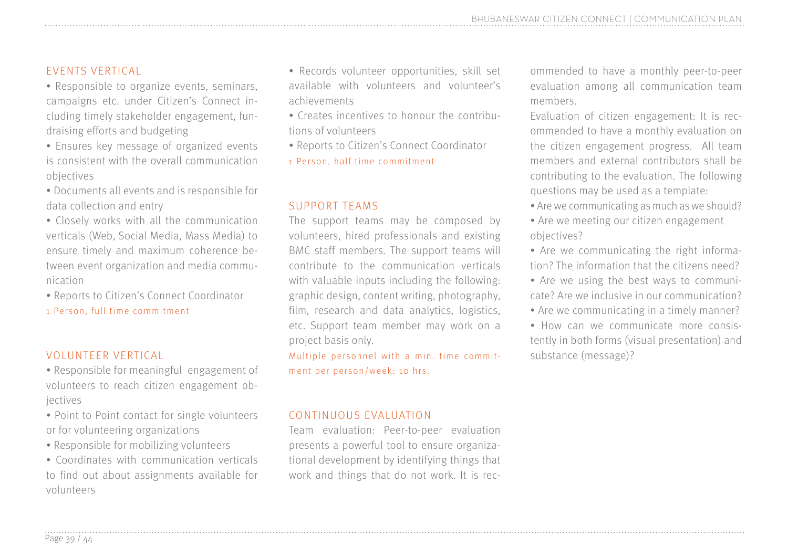#### EVENTS VERTICAL

- Responsible to organize events, seminars, campaigns etc. under Citizen's Connect including timely stakeholder engagement, fundraising efforts and budgeting
- Ensures key message of organized events is consistent with the overall communication objectives
- Documents all events and is responsible for data collection and entry
- Closely works with all the communication verticals (Web, Social Media, Mass Media) to ensure timely and maximum coherence between event organization and media communication
- Reports to Citizen's Connect Coordinator
- 1 Person, full time commitment

#### VOLUNTEER VERTICAL

- Responsible for meaningful engagement of volunteers to reach citizen engagement objectives
- Point to Point contact for single volunteers or for volunteering organizations
- Responsible for mobilizing volunteers
- Coordinates with communication verticals to find out about assignments available for volunteers
- Records volunteer opportunities, skill set available with volunteers and volunteer's achievements
- Creates incentives to honour the contributions of volunteers
- Reports to Citizen's Connect Coordinator
- 1 Person, half time commitment

#### SUPPORT TEAMS

The support teams may be composed by volunteers, hired professionals and existing BMC staff members. The support teams will contribute to the communication verticals with valuable inputs including the following: graphic design, content writing, photography, film, research and data analytics, logistics, etc. Support team member may work on a project basis only.

Multiple personnel with a min. time commitment per person/week: 10 hrs.

#### CONTINUOUS EVALUATION

Team evaluation: Peer-to-peer evaluation presents a powerful tool to ensure organizational development by identifying things that work and things that do not work. It is recommended to have a monthly peer-to-peer evaluation among all communication team members.

- Evaluation of citizen engagement: It is recommended to have a monthly evaluation on the citizen engagement progress. All team members and external contributors shall be contributing to the evaluation. The following questions may be used as a template:
- Are we communicating as much as we should?
- Are we meeting our citizen engagement objectives?
- Are we communicating the right information? The information that the citizens need?
- Are we using the best ways to communicate? Are we inclusive in our communication?
- Are we communicating in a timely manner?
- How can we communicate more consistently in both forms (visual presentation) and substance (message)?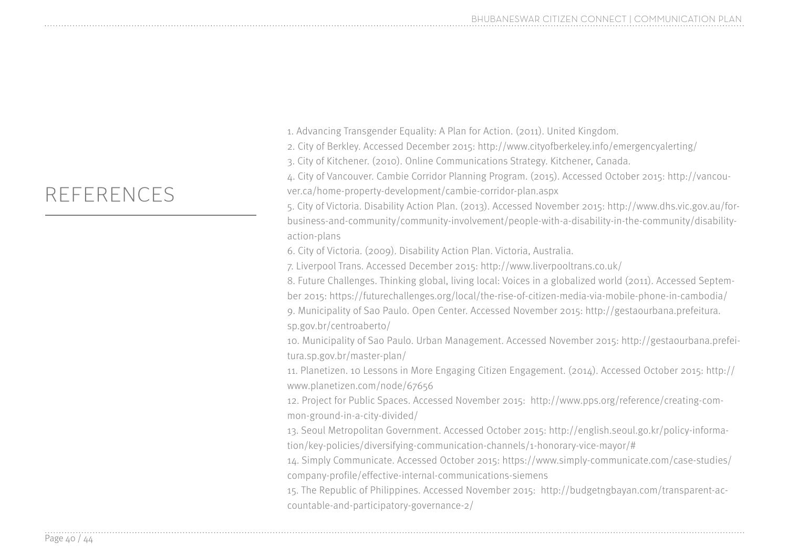1. Advancing Transgender Equality: A Plan for Action. (2011). United Kingdom.

2. City of Berkley. Accessed December 2015: http://www.cityofberkeley.info/emergencyalerting/

3. City of Kitchener. (2010). Online Communications Strategy. Kitchener, Canada.

4. City of Vancouver. Cambie Corridor Planning Program. (2015). Accessed October 2015: http://vancouver.ca/home-property-development/cambie-corridor-plan.aspx

5. City of Victoria. Disability Action Plan. (2013). Accessed November 2015: http://www.dhs.vic.gov.au/forbusiness-and-community/community-involvement/people-with-a-disability-in-the-community/disabilityaction-plans

6. City of Victoria. (2009). Disability Action Plan. Victoria, Australia.

7. Liverpool Trans. Accessed December 2015: http://www.liverpooltrans.co.uk/

8. Future Challenges. Thinking global, living local: Voices in a globalized world (2011). Accessed September 2015: https://futurechallenges.org/local/the-rise-of-citizen-media-via-mobile-phone-in-cambodia/ 9. Municipality of Sao Paulo. Open Center. Accessed November 2015: http://gestaourbana.prefeitura. sp.gov.br/centroaberto/

10. Municipality of Sao Paulo. Urban Management. Accessed November 2015: http://gestaourbana.prefeitura.sp.gov.br/master-plan/

11. Planetizen. 10 Lessons in More Engaging Citizen Engagement. (2014). Accessed October 2015: http:// www.planetizen.com/node/67656

12. Project for Public Spaces. Accessed November 2015: http://www.pps.org/reference/creating-common-ground-in-a-city-divided/

13. Seoul Metropolitan Government. Accessed October 2015: http://english.seoul.go.kr/policy-information/key-policies/diversifying-communication-channels/1-honorary-vice-mayor/#

14. Simply Communicate. Accessed October 2015: https://www.simply-communicate.com/case-studies/ company-profile/effective-internal-communications-siemens

15. The Republic of Philippines. Accessed November 2015: http://budgetngbayan.com/transparent-accountable-and-participatory-governance-2/

#### REFERENCES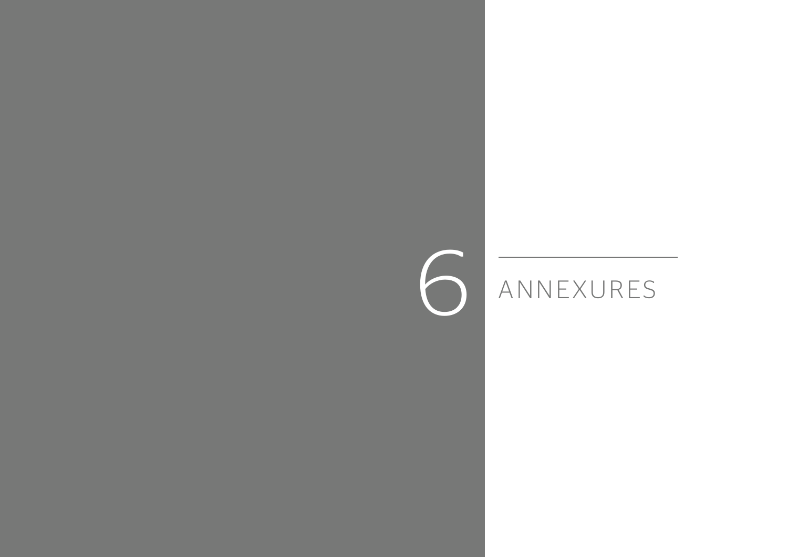## ANNEXURES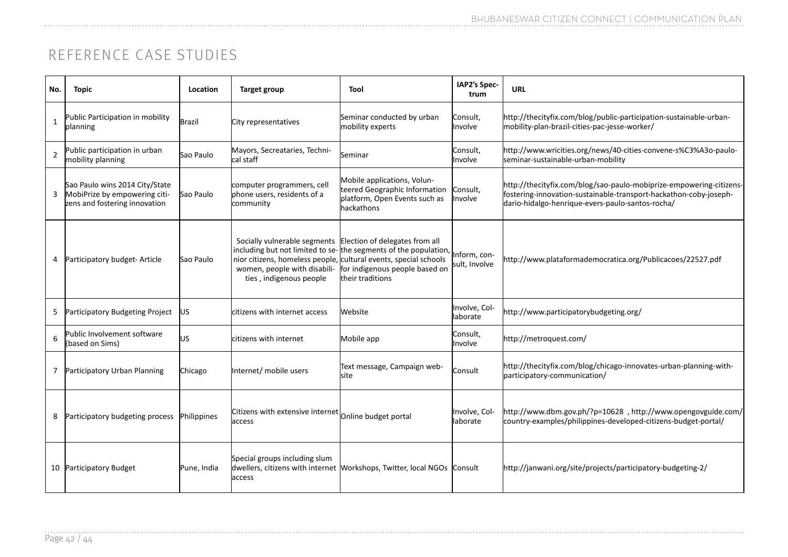#### REFERENCE CASE STUDIES

| No.            | <b>Topic</b>                                                                                     | Location    | Target group                                                                                                           | Tool                                                                                                                                                                                       | IAP2's Spec-<br>trum          | <b>URL</b>                                                                                                                                                                                   |
|----------------|--------------------------------------------------------------------------------------------------|-------------|------------------------------------------------------------------------------------------------------------------------|--------------------------------------------------------------------------------------------------------------------------------------------------------------------------------------------|-------------------------------|----------------------------------------------------------------------------------------------------------------------------------------------------------------------------------------------|
| 1              | Public Participation in mobility<br>planning                                                     | Brazil      | City representatives                                                                                                   | Seminar conducted by urban<br>mobility experts                                                                                                                                             | Consult,<br>Involve           | http://thecityfix.com/blog/public-participation-sustainable-urban-<br>mobility-plan-brazil-cities-pac-jesse-worker/                                                                          |
| $\overline{2}$ | Public participation in urban<br>mobility planning                                               | Sao Paulo   | Mayors, Secreataries, Techni-<br>cal staff                                                                             | Seminar                                                                                                                                                                                    | Consult,<br>Involve           | http://www.wricities.org/news/40-cities-convene-s%C3%A3o-paulo-<br>seminar-sustainable-urban-mobility                                                                                        |
| 3              | Sao Paulo wins 2014 City/State<br>MobiPrize by empowering citi-<br>zens and fostering innovation | Sao Paulo   | computer programmers, cell<br>phone users, residents of a<br>community                                                 | Mobile applications, Volun-<br>teered Geographic Information<br>platform, Open Events such as<br>hackathons                                                                                | Consult,<br>Involve           | http://thecityfix.com/blog/sao-paulo-mobiprize-empowering-citizens-<br>fostering-innovation-sustainable-transport-hackathon-coby-joseph-<br>dario-hidalgo-henrique-evers-paulo-santos-rocha/ |
|                | Participatory budget-Article                                                                     | Sao Paulo   | Socially vulnerable segments Election of delegates from all<br>women, people with disabili-<br>ties, indigenous people | including but not limited to se-the segments of the population,<br>nior citizens, homeless people, cultural events, special schools<br>for indigenous people based on<br>ltheir traditions | Inform, con-<br>sult, Involve | http://www.plataformademocratica.org/Publicacoes/22527.pdf                                                                                                                                   |
|                | Participatory Budgeting Project                                                                  | lus.        | lcitizens with internet access                                                                                         | lWebsite                                                                                                                                                                                   | Involve, Col-<br>laborate     | http://www.participatorybudgeting.org/                                                                                                                                                       |
| 6              | Public Involvement software<br>based on Sims)                                                    | US.         | lcitizens with internet                                                                                                | Mobile app                                                                                                                                                                                 | Consult,<br>Involve           | http://metroquest.com/                                                                                                                                                                       |
|                | Participatory Urban Planning                                                                     | Chicago     | Internet/ mobile users                                                                                                 | Text message, Campaign web-<br>lsite                                                                                                                                                       | Consult                       | http://thecityfix.com/blog/chicago-innovates-urban-planning-with-<br>participatory-communication/                                                                                            |
| 8              | Participatory budgeting process                                                                  | Philippines | Citizens with extensive internet online budget portal<br>access                                                        |                                                                                                                                                                                            | Involve, Col-<br>laborate     | http://www.dbm.gov.ph/?p=10628, http://www.opengovguide.com/<br>country-examples/philippines-developed-citizens-budget-portal/                                                               |
|                | 10 Participatory Budget                                                                          | Pune, India | Special groups including slum<br>access                                                                                | dwellers, citizens with internet Workshops, Twitter, local NGOs Consult                                                                                                                    |                               | http://janwani.org/site/projects/participatory-budgeting-2/                                                                                                                                  |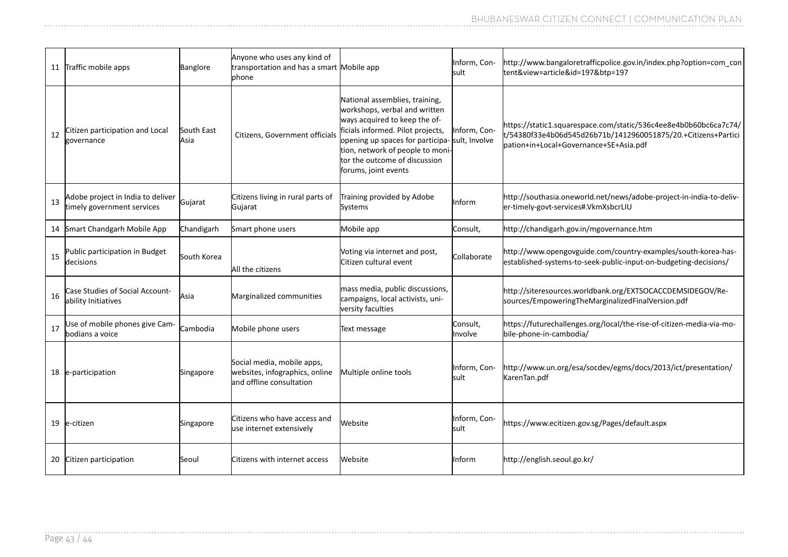|    | 11 Traffic mobile apps                                          | Banglore           | Anyone who uses any kind of<br>transportation and has a smart Mobile app<br><b>l</b> phone |                                                                                                                                                                                                                                                                                      | Inform, Con-<br>lsult | http://www.bangaloretrafficpolice.gov.in/index.php?option=com con<br>tent&view=article&id=197&btp=197                                                                       |
|----|-----------------------------------------------------------------|--------------------|--------------------------------------------------------------------------------------------|--------------------------------------------------------------------------------------------------------------------------------------------------------------------------------------------------------------------------------------------------------------------------------------|-----------------------|-----------------------------------------------------------------------------------------------------------------------------------------------------------------------------|
| 12 | Citizen participation and Local<br>governance                   | South East<br>Asia | Citizens, Government officials                                                             | National assemblies, training,<br>workshops, verbal and written<br>ways acquired to keep the of-<br>ficials informed. Pilot projects,<br>opening up spaces for participa- sult, Involve<br>tion, network of people to moni-<br>tor the outcome of discussion<br>forums, joint events | Inform, Con-          | https://static1.squarespace.com/static/536c4ee8e4b0b60bc6ca7c74/<br>t/54380f33e4b06d545d26b71b/1412960051875/20.+Citizens+Partici<br>pation+in+Local+Governance+SE+Asia.pdf |
| 13 | Adobe project in India to deliver<br>timely government services | Gujarat            | Citizens living in rural parts of<br>Gujarat                                               | Training provided by Adobe<br>Systems                                                                                                                                                                                                                                                | Inform                | http://southasia.oneworld.net/news/adobe-project-in-india-to-deliv-<br>er-timely-govt-services#.VkmXsbcrLIU                                                                 |
|    | 14 Smart Chandgarh Mobile App                                   | Chandigarh         | Smart phone users                                                                          | Mobile app                                                                                                                                                                                                                                                                           | Consult,              | http://chandigarh.gov.in/mgovernance.htm                                                                                                                                    |
| 15 | Public participation in Budget<br>decisions                     | South Korea        | All the citizens                                                                           | Voting via internet and post,<br>Citizen cultural event                                                                                                                                                                                                                              | <b>Collaborate</b>    | http://www.opengovguide.com/country-examples/south-korea-has-<br>established-systems-to-seek-public-input-on-budgeting-decisions/                                           |
| 16 | Case Studies of Social Account-<br>ability Initiatives          | Asia               | Marginalized communities                                                                   | mass media, public discussions,<br>campaigns, local activists, uni-<br>versity faculties                                                                                                                                                                                             |                       | http://siteresources.worldbank.org/EXTSOCACCDEMSIDEGOV/Re-<br>sources/EmpoweringTheMarginalizedFinalVersion.pdf                                                             |
| 17 | Jse of mobile phones give Cam-<br>bodians a voice               | Cambodia           | Mobile phone users                                                                         | Text message                                                                                                                                                                                                                                                                         | Consult,<br>Involve   | https://futurechallenges.org/local/the-rise-of-citizen-media-via-mo-<br>bile-phone-in-cambodia/                                                                             |
|    | 18 e-participation                                              | Singapore          | Social media, mobile apps,<br>websites, infographics, online<br>land offline consultation  | Multiple online tools                                                                                                                                                                                                                                                                | Inform, Con-<br>sult  | http://www.un.org/esa/socdev/egms/docs/2013/ict/presentation/<br>KarenTan.pdf                                                                                               |
|    | 19 le-citizen                                                   | Singapore          | Citizens who have access and<br>use internet extensively                                   | Website                                                                                                                                                                                                                                                                              | Inform, Con-<br>lsult | https://www.ecitizen.gov.sg/Pages/default.aspx                                                                                                                              |
|    | 20 Citizen participation                                        | Seoul              | Citizens with internet access                                                              | Website                                                                                                                                                                                                                                                                              | Inform                | http://english.seoul.go.kr/                                                                                                                                                 |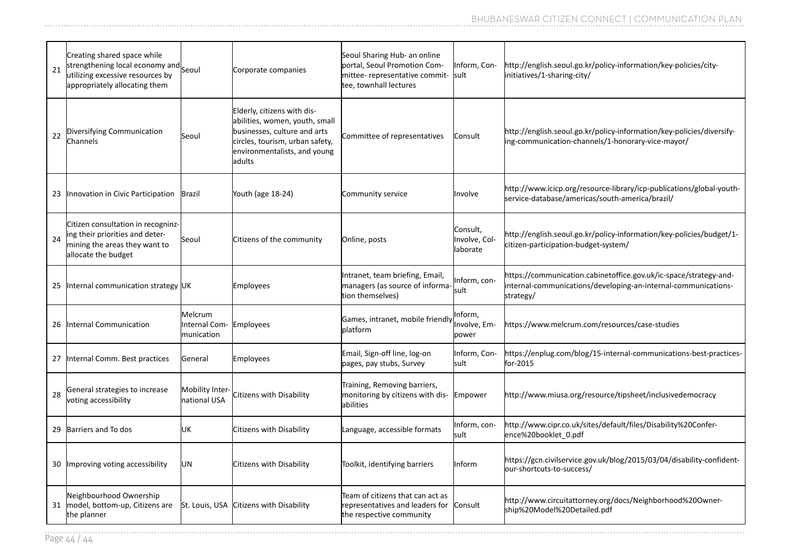| 21 | Creating shared space while<br>strengthening local economy and Seoul<br>utilizing excessive resources by<br>appropriately allocating them |                                                  | Corporate companies                                                                                                                                                        | Seoul Sharing Hub- an online<br>portal, Seoul Promotion Com-<br>mittee- representative commit-<br>tee, townhall lectures | Inform, Con-<br>sult                  | http://english.seoul.go.kr/policy-information/key-policies/city-<br>initiatives/1-sharing-city/                                                  |
|----|-------------------------------------------------------------------------------------------------------------------------------------------|--------------------------------------------------|----------------------------------------------------------------------------------------------------------------------------------------------------------------------------|--------------------------------------------------------------------------------------------------------------------------|---------------------------------------|--------------------------------------------------------------------------------------------------------------------------------------------------|
| 22 | Diversifying Communication<br>Channels                                                                                                    | Seoul                                            | Elderly, citizens with dis-<br>abilities, women, youth, small<br>businesses, culture and arts<br>circles, tourism, urban safety,<br>environmentalists, and young<br>adults | Committee of representatives                                                                                             | Consult                               | http://english.seoul.go.kr/policy-information/key-policies/diversify-<br>ing-communication-channels/1-honorary-vice-mayor/                       |
|    | 23 Innovation in Civic Participation                                                                                                      | <b>Brazil</b>                                    | Youth (age 18-24)                                                                                                                                                          | Community service                                                                                                        | Involve                               | http://www.icicp.org/resource-library/icp-publications/global-youth-<br>service-database/americas/south-america/brazil/                          |
| 24 | Citizen consultation in recogninz-<br>ing their priorities and deter-<br>mining the areas they want to<br>allocate the budget             | Seoul                                            | Citizens of the community                                                                                                                                                  | Online, posts                                                                                                            | Consult,<br>Involve, Col-<br>laborate | http://english.seoul.go.kr/policy-information/key-policies/budget/1-<br>citizen-participation-budget-system/                                     |
| 25 | Internal communication strategy UK                                                                                                        |                                                  | <b>Employees</b>                                                                                                                                                           | Intranet, team briefing, Email,<br>managers (as source of informa<br>tion themselves)                                    | Inform, con-<br>lsult.                | https://communication.cabinetoffice.gov.uk/ic-space/strategy-and-<br>internal-communications/developing-an-internal-communications-<br>strategy/ |
| 26 | Internal Communication                                                                                                                    | Melcrum<br>Internal Com- Employees<br>munication |                                                                                                                                                                            | Games, intranet, mobile friendly<br>platform                                                                             | Inform,<br>Involve, Em-<br>power      | https://www.melcrum.com/resources/case-studies                                                                                                   |
| 27 | Internal Comm. Best practices                                                                                                             | General                                          | Employees                                                                                                                                                                  | Email, Sign-off line, log-on<br>pages, pay stubs, Survey                                                                 | Inform, Con-<br>sult                  | https://enplug.com/blog/15-internal-communications-best-practices-<br>for-2015                                                                   |
| 28 | General strategies to increase<br>voting accessibility                                                                                    | <b>Mobility Inter</b><br>national USA            | Citizens with Disability                                                                                                                                                   | Training, Removing barriers,<br>monitoring by citizens with dis-<br>labilities                                           | Empower                               | http://www.miusa.org/resource/tipsheet/inclusivedemocracy                                                                                        |
| 29 | Barriers and To dos                                                                                                                       | UΚ                                               | Citizens with Disability                                                                                                                                                   | Language, accessible formats                                                                                             | Inform, con-<br>lsult.                | http://www.cipr.co.uk/sites/default/files/Disability%20Confer-<br>ence%20booklet_0.pdf                                                           |
|    | 30 Improving voting accessibility                                                                                                         | UN                                               | Citizens with Disability                                                                                                                                                   | Toolkit, identifying barriers                                                                                            | Inform                                | https://gcn.civilservice.gov.uk/blog/2015/03/04/disability-confident-<br>our-shortcuts-to-success/                                               |
| 31 | Neighbourhood Ownership<br>model, bottom-up, Citizens are<br>the planner                                                                  |                                                  | St. Louis, USA Citizens with Disability                                                                                                                                    | Team of citizens that can act as<br>representatives and leaders for<br>the respective community                          | Consult                               | http://www.circuitattorney.org/docs/Neighborhood%20Owner-<br>ship%20Model%20Detailed.pdf                                                         |